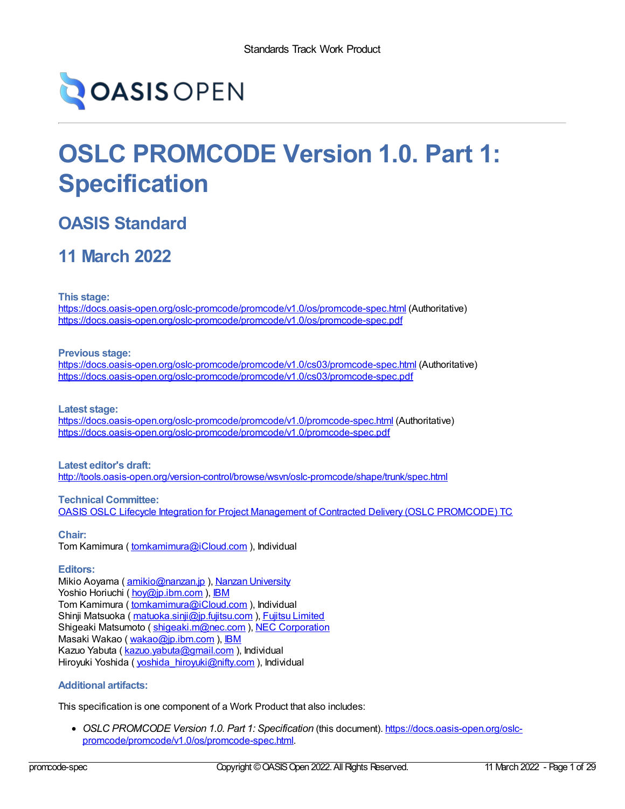

# **OSLC PROMCODE Version 1.0. Part 1: Specification**

## **OASIS Standard**

## **11 March 2022**

**This stage:**

<https://docs.oasis-open.org/oslc-promcode/promcode/v1.0/os/promcode-spec.html> (Authoritative) <https://docs.oasis-open.org/oslc-promcode/promcode/v1.0/os/promcode-spec.pdf>

**Previous stage:**

<https://docs.oasis-open.org/oslc-promcode/promcode/v1.0/cs03/promcode-spec.html> (Authoritative) <https://docs.oasis-open.org/oslc-promcode/promcode/v1.0/cs03/promcode-spec.pdf>

**Latest stage:**

<https://docs.oasis-open.org/oslc-promcode/promcode/v1.0/promcode-spec.html> (Authoritative) <https://docs.oasis-open.org/oslc-promcode/promcode/v1.0/promcode-spec.pdf>

## **Latest editor's draft:** <http://tools.oasis-open.org/version-control/browse/wsvn/oslc-promcode/shape/trunk/spec.html>

**Technical Committee:** OASIS OSLC Lifecycle Integration for Project Management of Contracted Delivery (OSLC [PROMCODE\)](https://www.oasis-open.org/committees/tc_home.php?wg_abbrev=oslc-promcode) TC

**Chair:** Tom Kamimura ( [tomkamimura@iCloud.com](mailto:tomk@iCloud.com) ), Individual

## **Editors:**

Mikio Aoyama ( [amikio@nanzan.jp](mailto:amikio@nanzan.jp) ), Nanzan [University](http://www.nanzan-u.ac.jp) Yoshio Horiuchi ( [hoy@jp.ibm.com](mailto:hoy@jp.ibm.com) ), [IBM](http://ibm.com/) Tom Kamimura ( [tomkamimura@iCloud.com](mailto:tomkamimura@iCloud.com) ), Individual Shinji Matsuoka ([matuoka.sinji@jp.fujitsu.com](mailto:matuoka.sinji@jp.fujitsu.com)), Fujitsu [Limited](https://www.fujitsu.com/) Shigeaki Matsumoto ( [shigeaki.m@nec.com](mailto:shigeaki.m@nec.com) ), NEC [Corporation](http://www.nec.com/) Masaki Wakao ( [wakao@jp.ibm.com](mailto:wakao@jp.ibm.com) ), [IBM](http://ibm.com/) Kazuo Yabuta ( [kazuo.yabuta@gmail.com](mailto:kazuo.yabuta@gmail.com) ), Individual Hiroyuki Yoshida ( [yoshida\\_hiroyuki@nifty.com](mailto:yoshida_hiroyuki@nifty.com) ), Individual

## <span id="page-0-0"></span>**Additional artifacts:**

This specification is one component of a Work Product that also includes:

*OSLC PROMCODE Version 1.0. Part 1: Specification* (this document). https://docs.oasis-open.org/oslc[promcode/promcode/v1.0/os/promcode-spec.html.](https://docs.oasis-open.org/oslc-promcode/promcode/v1.0/os/promcode-spec.html)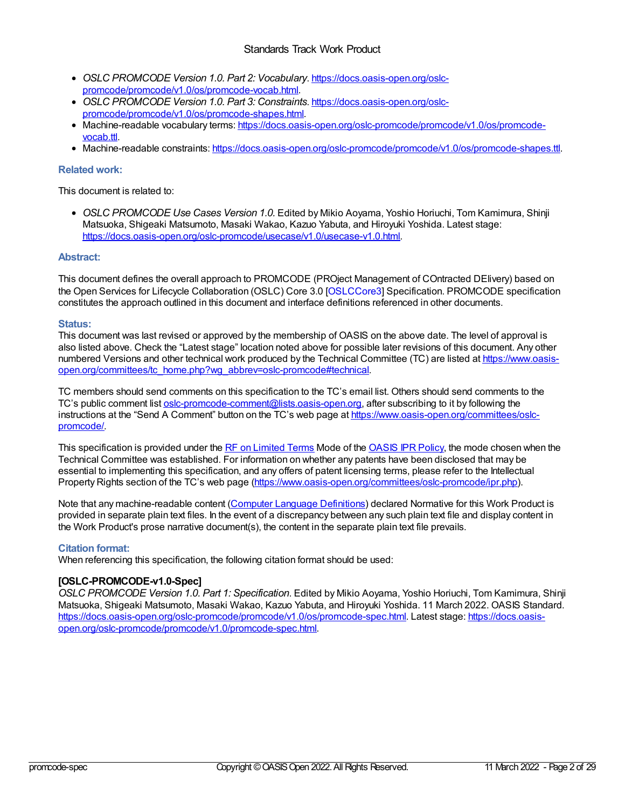## Standards Track Work Product

- *OSLC PROMCODE Version 1.0. Part 2: Vocabulary*. https://docs.oasis-open.org/oslc[promcode/promcode/v1.0/os/promcode-vocab.html.](https://docs.oasis-open.org/oslc-promcode/promcode/v1.0/os/promcode-vocab.html)
- *OSLC PROMCODE Version 1.0. Part 3: Constraints*. https://docs.oasis-open.org/oslc[promcode/promcode/v1.0/os/promcode-shapes.html.](https://docs.oasis-open.org/oslc-promcode/promcode/v1.0/os/promcode-shapes.html)
- Machine-readable vocabulary terms: [https://docs.oasis-open.org/oslc-promcode/promcode/v1.0/os/promcode](https://docs.oasis-open.org/oslc-promcode/promcode/v1.0/os/promcode-vocab.ttl)vocab.ttl.
- Machine-readable constraints: <https://docs.oasis-open.org/oslc-promcode/promcode/v1.0/os/promcode-shapes.ttl>.

## **Related work:**

This document is related to:

*OSLC PROMCODE Use Cases Version 1.0.* Edited by Mikio Aoyama, Yoshio Horiuchi, Tom Kamimura, Shinji Matsuoka, Shigeaki Matsumoto, Masaki Wakao, Kazuo Yabuta, and Hiroyuki Yoshida. Latest stage: [https://docs.oasis-open.org/oslc-promcode/usecase/v1.0/usecase-v1.0.html.](https://docs.oasis-open.org/oslc-promcode/usecase/v1.0/usecase-v1.0.html)

## **Abstract:**

This document defines the overall approach to PROMCODE (PROject Management of COntracted DElivery) based on the Open Services for Lifecycle Collaboration (OSLC) Core 3.0 [\[OSLCCore3](#page-28-0)] Specification. PROMCODE specification constitutes the approach outlined in this document and interface definitions referenced in other documents.

## **Status:**

This document was last revised or approved by the membership of OASIS on the above date. The level of approval is also listed above. Check the "Latest stage" location noted above for possible later revisions of this document. Any other numbered Versions and other technical work produced by the Technical Committee (TC) are listed at https://www.oasis[open.org/committees/tc\\_home.php?wg\\_abbrev=oslc-promcode#technical.](https://www.oasis-open.org/committees/tc_home.php?wg_abbrev=oslc-promcode#technical)

TC members should send comments on this specification to the TC's email list. Others should send comments to the TC's public comment list [oslc-promcode-comment@lists.oasis-open.org](https://www.oasis-open.org/committees/comments/index.php?wg_abbrev=oslc-promcode), after subscribing to it by following the instructions at the "Send A Comment" button on the TC's web page at [https://www.oasis-open.org/committees/oslc](https://www.oasis-open.org/committees/oslc-promcode/)promcode/.

This specification is provided under the RF on [Limited](https://www.oasis-open.org/policies-guidelines/ipr/#RF-on-Limited-Mode) Terms Mode of the [OASIS](https://www.oasis-open.org/policies-guidelines/ipr/) IPR Policy, the mode chosen when the Technical Committee was established. For information on whether any patents have been disclosed that may be essential to implementing this specification, and any offers of patent licensing terms, please refer to the Intellectual Property Rights section of the TC's web page [\(https://www.oasis-open.org/committees/oslc-promcode/ipr.php](https://www.oasis-open.org/committees/oslc-promcode/ipr.php)).

Note that any machine-readable content (Computer Language [Definitions](https://www.oasis-open.org/policies-guidelines/tc-process-2017-05-26/#wpComponentsCompLang)) declared Normative for this Work Product is provided in separate plain text files. In the event of a discrepancy between any such plain text file and display content in the Work Product's prose narrative document(s), the content in the separate plain text file prevails.

## **Citation format:**

When referencing this specification, the following citation format should be used:

## **[OSLC-PROMCODE-v1.0-Spec]**

*OSLC PROMCODE Version 1.0. Part 1: Specification*. Edited by Mikio Aoyama, Yoshio Horiuchi, Tom Kamimura, Shinji Matsuoka, Shigeaki Matsumoto, Masaki Wakao, Kazuo Yabuta, and Hiroyuki Yoshida. 11 March 2022. OASIS Standard. [https://docs.oasis-open.org/oslc-promcode/promcode/v1.0/os/promcode-spec.html.](https://docs.oasis-open.org/oslc-promcode/promcode/v1.0/promcode-spec.html) Latest stage: https://docs.oasisopen.org/oslc-promcode/promcode/v1.0/promcode-spec.html.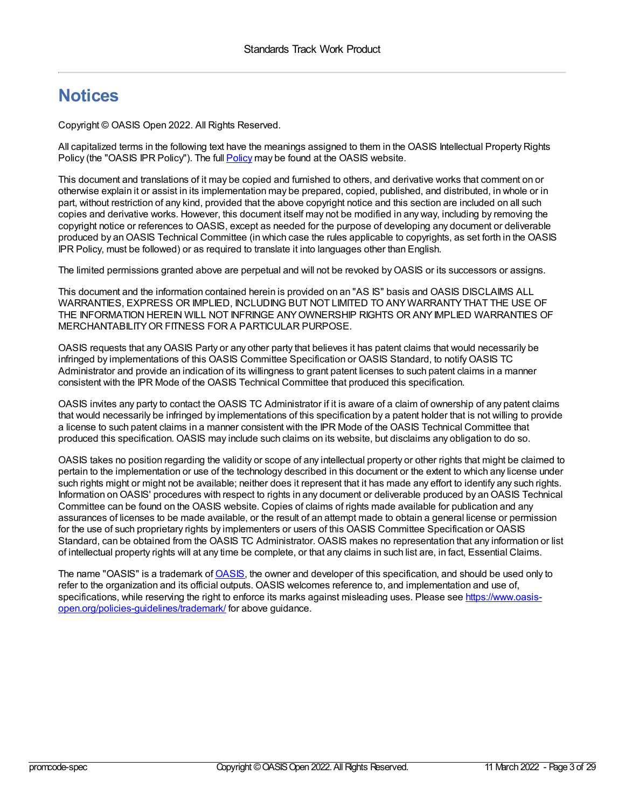## **Notices**

Copyright © OASIS Open 2022. All Rights Reserved.

All capitalized terms in the following text have the meanings assigned to them in the OASIS Intellectual Property Rights [Policy](https://www.oasis-open.org/policies-guidelines/ipr/) (the "OASIS IPR Policy"). The full **Policy** may be found at the OASIS website.

This document and translations of it may be copied and furnished to others, and derivative works that comment on or otherwise explain it or assist in its implementation may be prepared, copied, published, and distributed, in whole or in part, without restriction of any kind, provided that the above copyright notice and this section are included on all such copies and derivative works. However, this document itself may not be modified in any way, including by removing the copyright notice or references to OASIS, except as needed for the purpose of developing any document or deliverable produced by an OASIS Technical Committee (in which case the rules applicable to copyrights, as set forth in the OASIS IPR Policy, must be followed) or as required to translate it into languages other than English.

The limited permissions granted above are perpetual and will not be revoked byOASIS or its successors or assigns.

This document and the information contained herein is provided on an "AS IS" basis and OASIS DISCLAIMS ALL WARRANTIES, EXPRESS OR IMPLIED, INCLUDING BUT NOT LIMITED TO ANYWARRANTYTHAT THE USE OF THE INFORMATION HEREIN WILL NOT INFRINGE ANYOWNERSHIP RIGHTS OR ANYIMPLIED WARRANTIES OF MERCHANTABILITYOR FITNESS FOR A PARTICULAR PURPOSE.

OASIS requests that anyOASIS Party or any other party that believes it has patent claims that would necessarily be infringed by implementations of this OASIS Committee Specification or OASIS Standard, to notifyOASIS TC Administrator and provide an indication of its willingness to grant patent licenses to such patent claims in a manner consistent with the IPR Mode of the OASIS Technical Committee that produced this specification.

OASIS invites any party to contact the OASIS TC Administrator if it is aware of a claim of ownership of any patent claims that would necessarily be infringed by implementations of this specification by a patent holder that is not willing to provide a license to such patent claims in a manner consistent with the IPR Mode of the OASIS Technical Committee that produced this specification. OASIS may include such claims on its website, but disclaims any obligation to do so.

OASIS takes no position regarding the validity or scope of any intellectual property or other rights that might be claimed to pertain to the implementation or use of the technology described in this document or the extent to which any license under such rights might or might not be available; neither does it represent that it has made any effort to identify any such rights. Information on OASIS' procedures with respect to rights in any document or deliverable produced by an OASIS Technical Committee can be found on the OASIS website. Copies of claims of rights made available for publication and any assurances of licenses to be made available, or the result of an attempt made to obtain a general license or permission for the use of such proprietary rights by implementers or users of this OASIS Committee Specification or OASIS Standard, can be obtained from the OASIS TC Administrator. OASIS makes no representation that any information or list of intellectual property rights will at any time be complete, or that any claims in such list are, in fact, Essential Claims.

The name "[OASIS](https://www.oasis-open.org/)" is a trademark of **OASIS**, the owner and developer of this specification, and should be used only to refer to the organization and its official outputs. OASIS welcomes reference to, and implementation and use of, specifications, while reserving the right to enforce its marks against misleading uses. Please see https://www.oasis[open.org/policies-guidelines/trademark/](https://www.oasis-open.org/policies-guidelines/trademark/) for above guidance.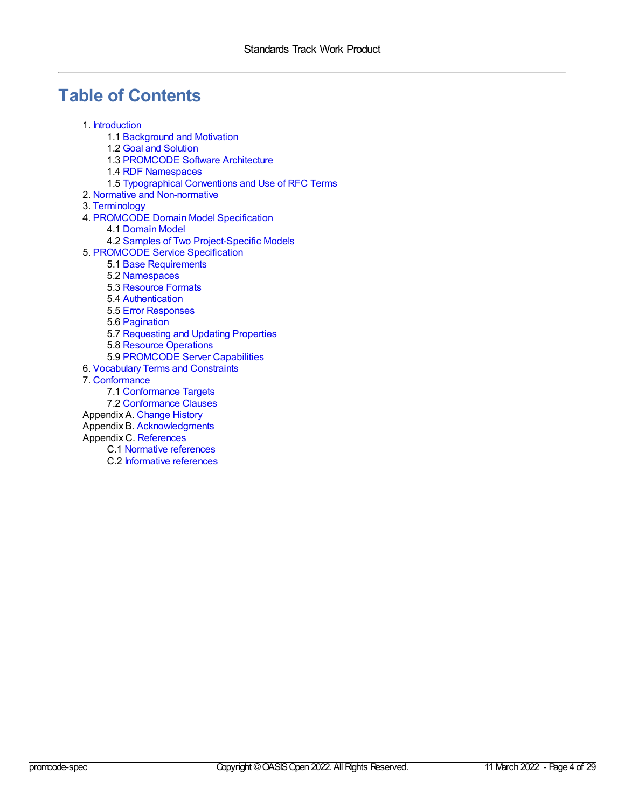## **Table of Contents**

- 1. [Introduction](#page-5-0)
	- 1.1 [Background](#page-4-0) and Motivation
	- 1.2 Goal and [Solution](#page-4-1)
	- 1.3 [PROMCODE](#page-5-1) Software Architecture
	- 1.4 RDF [Namespaces](#page-6-0)
	- 1.5 [Typographical](#page-6-1) Conventions and Use of RFC Terms
- 2. Normative and [Non-normative](#page-7-0)
- 3. [Terminology](#page-8-0)
- 4. [PROMCODE](#page-12-0) Domain Model Specification
	- 4.1 [Domain](#page-12-1) Model
	- 4.2 Samples of Two [Project-Specific](#page-15-0) Models
- 5. [PROMCODE](#page-22-0) Service Specification
	- 5.1 Base [Requirements](#page-17-0)
	- 5.2 [Namespaces](#page-18-0)
	- 5.3 [Resource](#page-19-0) Formats
	- 5.4 [Authentication](#page-19-1)
	- 5.5 Error [Responses](#page-19-2)
	- 5.6 [Pagination](#page-19-3)
	- 5.7 [Requesting](#page-20-0) and Updating Properties
	- 5.8 Resource [Operations](#page-20-1)
	- 5.9 [PROMCODE](#page-21-0) Server Capabilities
- 6. [Vocabulary](#page-22-1) Terms and Constraints
- 7. [Conformance](#page-24-0)
	- 7.1 [Conformance](#page-23-0) Targets
	- 7.2 [Conformance](#page-23-1) Clauses
- [Appendix](#page-26-0) A. Change History
- Appendix B. [Acknowledgments](#page-27-0)
- Appendix C. [References](#page-28-1)
	- C.1 Normative [references](#page-28-2)
	- C.2 [Informative](#page-28-3) references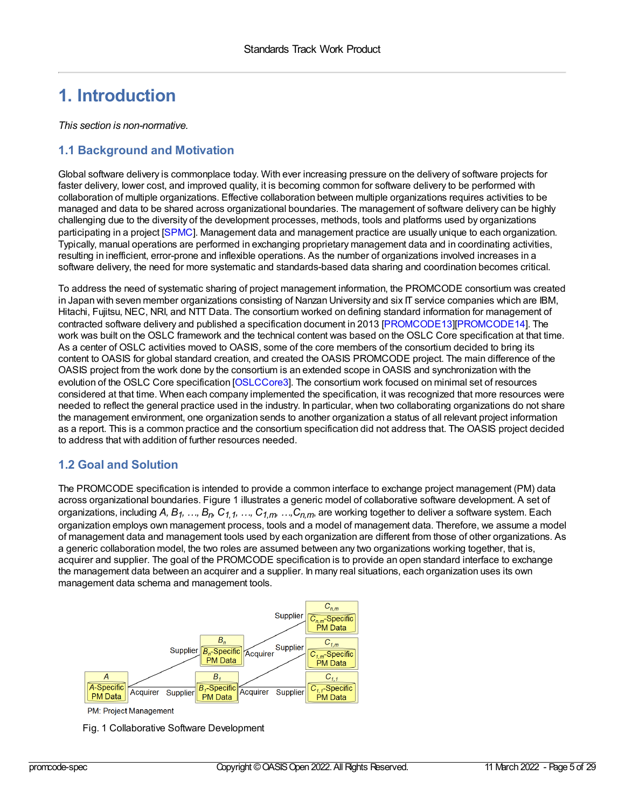## **1. Introduction**

*This section is non-normative.*

## <span id="page-4-0"></span>**1.1 Background and Motivation**

Global software delivery is commonplace today. With ever increasing pressure on the delivery of software projects for faster delivery, lower cost, and improved quality, it is becoming common for software delivery to be performed with collaboration of multiple organizations. Effective collaboration between multiple organizations requires activities to be managed and data to be shared across organizational boundaries. The management of software delivery can be highly challenging due to the diversity of the development processes, methods, tools and platforms used by organizations participating in a project [\[SPMC](#page-28-4)]. Management data and management practice are usually unique to each organization. Typically, manual operations are performed in exchanging proprietary management data and in coordinating activities, resulting in inefficient, error-prone and inflexible operations. As the number of organizations involved increases in a software delivery, the need for more systematic and standards-based data sharing and coordination becomes critical.

To address the need of systematic sharing of project management information, the PROMCODE consortium was created in Japan with seven member organizations consisting of Nanzan University and six IT service companies which are IBM, Hitachi, Fujitsu, NEC, NRI, and NTT Data. The consortium worked on defining standard information for management of contracted software delivery and published a specification document in 2013 [\[PROMCODE13](#page-28-5)][\[PROMCODE14](#page-28-6)]. The work was built on the OSLC framework and the technical content was based on the OSLC Core specification at that time. As a center of OSLC activities moved to OASIS, some of the core members of the consortium decided to bring its content to OASIS for global standard creation, and created the OASIS PROMCODE project. The main difference of the OASIS project from the work done by the consortium is an extended scope in OASIS and synchronization with the evolution of the OSLC Core specification [\[OSLCCore3](#page-28-0)]. The consortium work focused on minimal set of resources considered at that time. When each company implemented the specification, it was recognized that more resources were needed to reflect the general practice used in the industry. In particular, when two collaborating organizations do not share the management environment, one organization sends to another organization a status of all relevant project information as a report. This is a common practice and the consortium specification did not address that. The OASIS project decided to address that with addition of further resources needed.

## <span id="page-4-1"></span>**1.2 Goal and Solution**

The PROMCODE specification is intended to provide a common interface to exchange project management (PM) data across organizational boundaries. Figure 1 illustrates a generic model of collaborative software development. A set of organizations, including A, B<sub>1</sub>, …, B<sub>n</sub>, C<sub>1,1</sub>, …, C<sub>1,m</sub>, …,C<sub>n,m</sub>, are working together to deliver a software system. Each organization employs own management process, tools and a model of management data. Therefore, we assume a model of management data and management tools used by each organization are different from those of other organizations. As a generic collaboration model, the two roles are assumed between any two organizations working together, that is, acquirer and supplier. The goal of the PROMCODE specification is to provide an open standard interface to exchange the management data between an acquirer and a supplier. In many real situations, each organization uses its own management data schema and management tools.



PM: Project Management

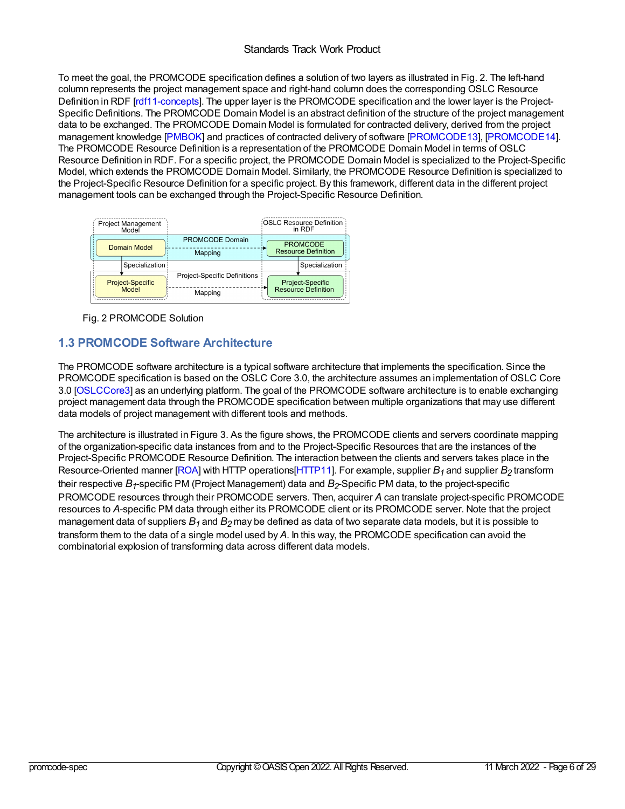## <span id="page-5-0"></span>Standards Track Work Product

To meet the goal, the PROMCODE specification defines a solution of two layers as illustrated in Fig. 2. The left-hand column represents the project management space and right-hand column does the corresponding OSLC Resource Definition in RDF [\[rdf11-concepts](#page-28-7)]. The upper layer is the PROMCODE specification and the lower layer is the Project-Specific Definitions. The PROMCODE Domain Model is an abstract definition of the structure of the project management data to be exchanged. The PROMCODE Domain Model is formulated for contracted delivery, derived from the project management knowledge [\[PMBOK](#page-28-8)] and practices of contracted delivery of software [\[PROMCODE13](#page-28-5)], [\[PROMCODE14](#page-28-6)]. The PROMCODE Resource Definition is a representation of the PROMCODE Domain Model in terms of OSLC Resource Definition in RDF. For a specific project, the PROMCODE Domain Model is specialized to the Project-Specific Model, which extends the PROMCODE Domain Model. Similarly, the PROMCODE Resource Definition is specialized to the Project-Specific Resource Definition for a specific project. By this framework, different data in the different project management tools can be exchanged through the Project-Specific Resource Definition.



Fig. 2 PROMCODE Solution

## <span id="page-5-1"></span>**1.3 PROMCODE Software Architecture**

The PROMCODE software architecture is a typical software architecture that implements the specification. Since the PROMCODE specification is based on the OSLC Core 3.0, the architecture assumes an implementation of OSLC Core 3.0 [\[OSLCCore3\]](#page-28-0) as an underlying platform. The goal of the PROMCODE software architecture is to enable exchanging project management data through the PROMCODE specification between multiple organizations that may use different data models of project management with different tools and methods.

The architecture is illustrated in Figure 3. As the figure shows, the PROMCODE clients and servers coordinate mapping of the organization-specific data instances from and to the Project-Specific Resources that are the instances of the Project-Specific PROMCODE Resource Definition. The interaction between the clients and servers takes place in the Resource-Oriented manner [\[ROA](#page-28-9)] with HTTP operations[\[HTTP11](#page-28-10)]. For example, supplier *B1* and supplier *B2* transform their respective  $B_f$ -specific PM (Project Management) data and  $B_2$ -Specific PM data, to the project-specific PROMCODE resources through their PROMCODE servers. Then, acquirer *A* can translate project-specific PROMCODE resources to *A*-specific PM data through either its PROMCODE client or its PROMCODE server. Note that the project management data of suppliers *B1* and *B2* may be defined as data of two separate data models, but it is possible to transform them to the data of a single model used by *A*. In this way, the PROMCODE specification can avoid the combinatorial explosion of transforming data across different data models.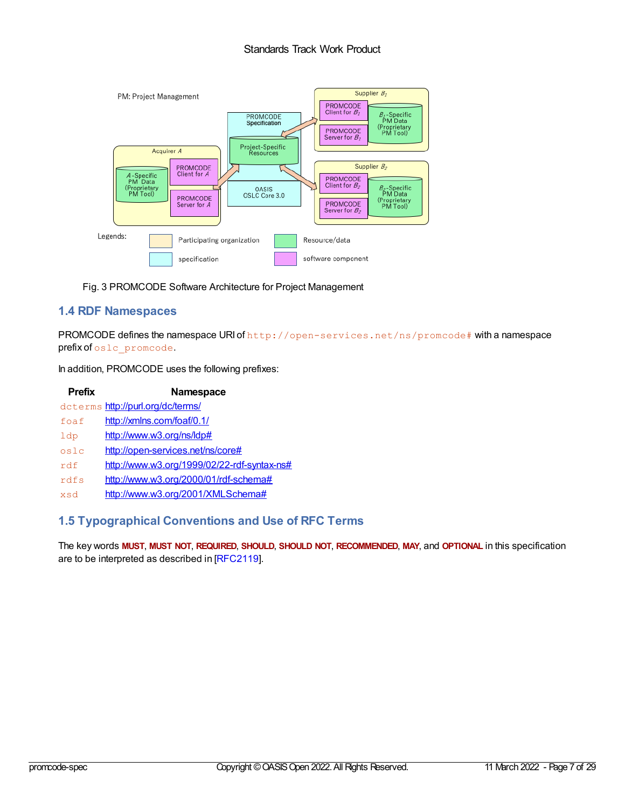## Standards Track Work Product



Fig. 3 PROMCODE Software Architecture for Project Management

## <span id="page-6-0"></span>**1.4 RDF Namespaces**

PROMCODE defines the namespace URI of http://open-services.net/ns/promcode# with a namespace prefix of oslc\_promcode.

In addition, PROMCODE uses the following prefixes:

| <b>Prefix</b>         | <b>Namespace</b>                            |
|-----------------------|---------------------------------------------|
|                       | dcterms http://purl.org/dc/terms/           |
| $f$ $O$ $\varphi$ $f$ | http://xmlns.com/foaf/0.1/                  |
| 1dp                   | http://www.w3.org/ns/ldp#                   |
| oslc                  | http://open-services.net/ns/core#           |
| rdf                   | http://www.w3.org/1999/02/22-rdf-syntax-ns# |
| rdfs                  | http://www.w3.org/2000/01/rdf-schema#       |
| k sy                  | http://www.w3.org/2001/XMLSchema#           |

## <span id="page-6-1"></span>**1.5 Typographical Conventions and Use of RFC Terms**

The key words **MUST**, **MUST NOT**, **REQUIRED**, **SHOULD**, **SHOULD NOT**, **RECOMMENDED**, **MAY**, and **OPTIONAL** in this specification are to be interpreted as described in [\[RFC2119](#page-28-11)].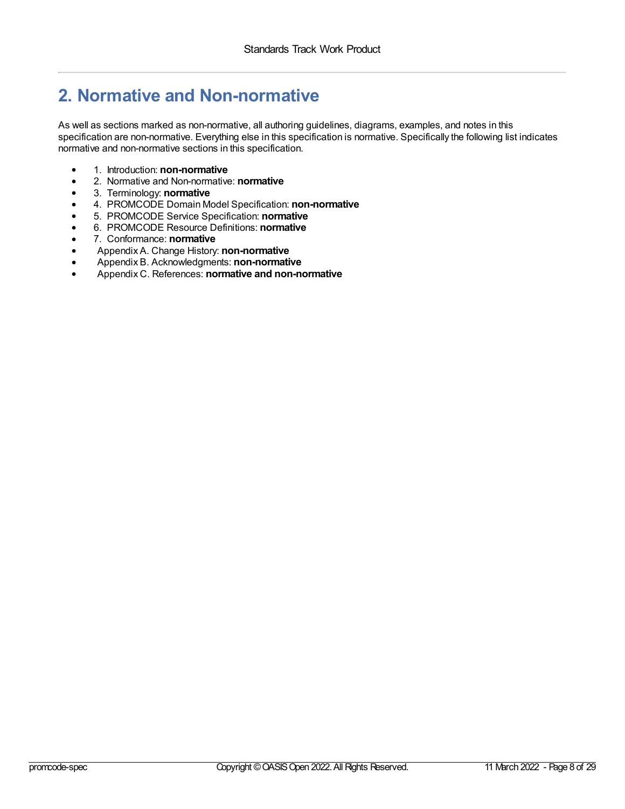## <span id="page-7-0"></span>**2. Normative and Non-normative**

As well as sections marked as non-normative, all authoring guidelines, diagrams, examples, and notes in this specification are non-normative. Everything else in this specification is normative. Specifically the following list indicates normative and non-normative sections in this specification.

- 1. Introduction: **non-normative**
- 2. Normative and Non-normative: **normative**
- 3. Terminology: **normative**
- 4. PROMCODE Domain Model Specification: **non-normative**
- 5. PROMCODE Service Specification: **normative**
- 6. PROMCODE Resource Definitions: **normative**
- 7. Conformance: **normative**
- Appendix A. Change History: **non-normative**
- Appendix B. Acknowledgments: **non-normative**
- Appendix C. References: **normative and non-normative**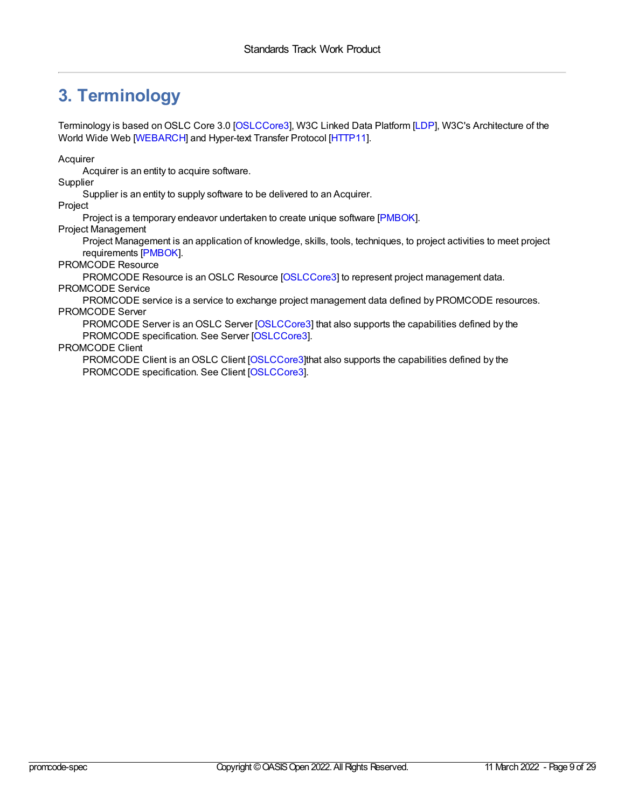## <span id="page-8-0"></span>**3. Terminology**

Terminology is based on OSLC Core 3.0 [\[OSLCCore3](#page-28-0)], W3C Linked Data Platform [\[LDP](#page-28-12)], W3C's Architecture of the World Wide Web [\[WEBARCH\]](#page-28-13) and Hyper-text Transfer Protocol [\[HTTP11](#page-28-10)].

Acquirer

Acquirer is an entity to acquire software.

**Supplier** 

Supplier is an entity to supply software to be delivered to an Acquirer.

Project

Project is a temporary endeavor undertaken to create unique software [\[PMBOK](#page-28-8)].

Project Management

Project Management is an application of knowledge, skills, tools, techniques, to project activities to meet project requirements [\[PMBOK](#page-28-8)].

PROMCODE Resource

PROMCODE Resource is an OSLC Resource [\[OSLCCore3](#page-28-0)] to represent project management data. PROMCODE Service

PROMCODE service is a service to exchange project management data defined by PROMCODE resources. PROMCODE Server

PROMCODE Server is an OSLC Server [\[OSLCCore3](#page-28-0)] that also supports the capabilities defined by the PROMCODE specification. See Server [\[OSLCCore3](#page-28-0)].

PROMCODE Client

PROMCODE Client is an OSLC Client [\[OSLCCore3](#page-28-0)]that also supports the capabilities defined by the PROMCODE specification. See Client [\[OSLCCore3](#page-28-0)].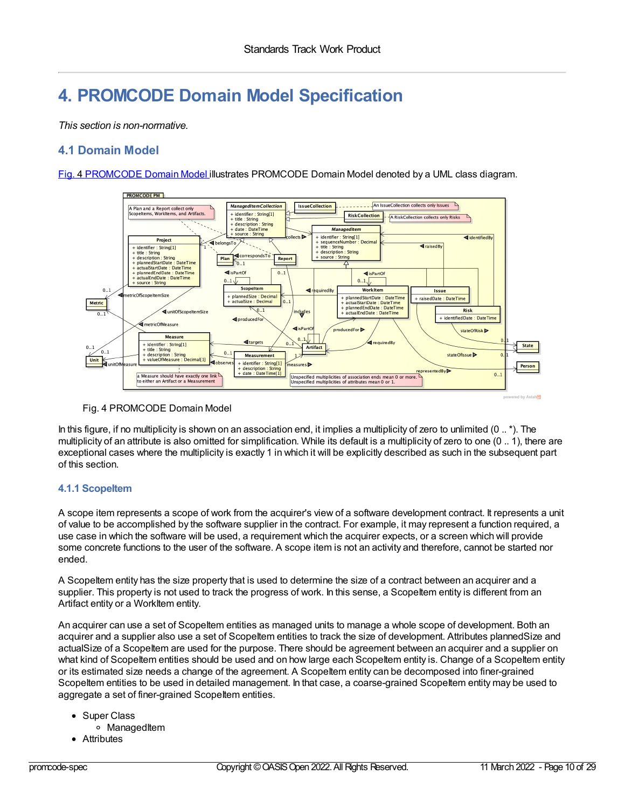## **4. PROMCODE Domain Model Specification**

*This section is non-normative.*

## **4.1 Domain Model**

Fig. 4 [PROMCODE](#page-9-0) Domain Model illustrates PROMCODE Domain Model denoted by a UML class diagram.

<span id="page-9-0"></span>

## Fig. 4 PROMCODE Domain Model

In this figure, if no multiplicity is shown on an association end, it implies a multiplicity of zero to unlimited (0 .. \*). The multiplicity of an attribute is also omitted for simplification. While its default is a multiplicity of zero to one (0 .. 1), there are exceptional cases where the multiplicity is exactly 1 in which it will be explicitly described as such in the subsequent part of this section.

## **4.1.1 ScopeItem**

A scope item represents a scope of work from the acquirer's view of a software development contract. It represents a unit of value to be accomplished by the software supplier in the contract. For example, it may represent a function required, a use case in which the software will be used, a requirement which the acquirer expects, or a screen which will provide some concrete functions to the user of the software. A scope item is not an activity and therefore, cannot be started nor ended.

A ScopeItem entity has the size property that is used to determine the size of a contract between an acquirer and a supplier. This property is not used to track the progress of work. In this sense, a ScopeItem entity is different from an Artifact entity or a WorkItem entity.

An acquirer can use a set of ScopeItem entities as managed units to manage a whole scope of development. Both an acquirer and a supplier also use a set of Scopeltem entities to track the size of development. Attributes plannedSize and actualSize of a ScopeItem are used for the purpose. There should be agreement between an acquirer and a supplier on what kind of ScopeItem entities should be used and on how large each ScopeItem entity is. Change of a ScopeItem entity or its estimated size needs a change of the agreement. A ScopeItem entity can be decomposed into finer-grained ScopeItem entities to be used in detailed management. In that case, a coarse-grained ScopeItem entity may be used to aggregate a set of finer-grained ScopeItem entities.

- Super Class
	- o ManagedItem
- Attributes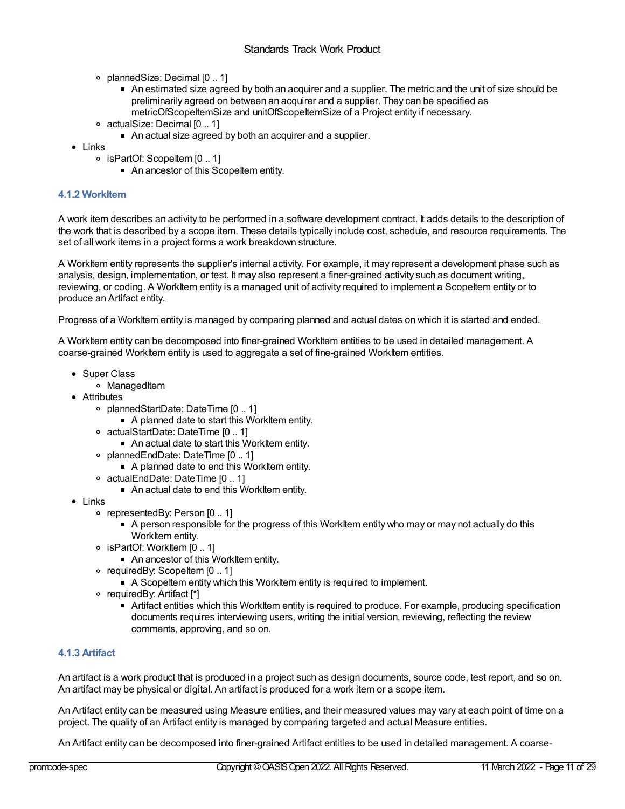- plannedSize: Decimal [0 .. 1]
	- An estimated size agreed by both an acquirer and a supplier. The metric and the unit of size should be preliminarily agreed on between an acquirer and a supplier. They can be specified as metricOfScopeItemSize and unitOfScopeItemSize of a Project entity if necessary.
- actualSize: Decimal [0 .. 1]
	- An actual size agreed by both an acquirer and a supplier.
- Links
	- isPartOf: ScopeItem [0 .. 1]
		- An ancestor of this ScopeItem entity.

## **4.1.2 WorkItem**

A work item describes an activity to be performed in a software development contract. It adds details to the description of the work that is described by a scope item. These details typically include cost, schedule, and resource requirements. The set of all work items in a project forms a work breakdown structure.

A WorkItem entity represents the supplier's internal activity. For example, it may represent a development phase such as analysis, design, implementation, or test. It may also represent a finer-grained activity such as document writing, reviewing, or coding. A WorkItem entity is a managed unit of activity required to implement a ScopeItem entity or to produce an Artifact entity.

Progress of a WorkItem entity is managed by comparing planned and actual dates on which it is started and ended.

A WorkItem entity can be decomposed into finer-grained WorkItem entities to be used in detailed management. A coarse-grained WorkItem entity is used to aggregate a set of fine-grained WorkItem entities.

- Super Class
	- o ManagedItem
- Attributes
	- plannedStartDate: DateTime [0 .. 1]
		- A planned date to start this WorkItem entity.
	- actualStartDate: DateTime [0 .. 1]
		- An actual date to start this WorkItem entity.
	- plannedEndDate: DateTime [0 .. 1]
		- A planned date to end this WorkItem entity.
	- actualEndDate: DateTime [0 .. 1]
		- An actual date to end this WorkItem entity.
- Links
	- representedBy: Person [0 .. 1]
		- A person responsible for the progress of this WorkItem entity who may or may not actually do this WorkItem entity.
	- isPartOf: WorkItem [0 .. 1]
		- An ancestor of this WorkItem entity.
	- $\circ$  requiredBy: ScopeItem  $[0..1]$ 
		- A ScopeItem entity which this WorkItem entity is required to implement.
	- $\circ$  requiredBy: Artifact [\*]
		- Artifact entities which this WorkItem entity is required to produce. For example, producing specification documents requires interviewing users, writing the initial version, reviewing, reflecting the review comments, approving, and so on.

## **4.1.3 Artifact**

An artifact is a work product that is produced in a project such as design documents, source code, test report, and so on. An artifact may be physical or digital. An artifact is produced for a work item or a scope item.

An Artifact entity can be measured using Measure entities, and their measured values may vary at each point of time on a project. The quality of an Artifact entity is managed by comparing targeted and actual Measure entities.

An Artifact entity can be decomposed into finer-grained Artifact entities to be used in detailed management. A coarse-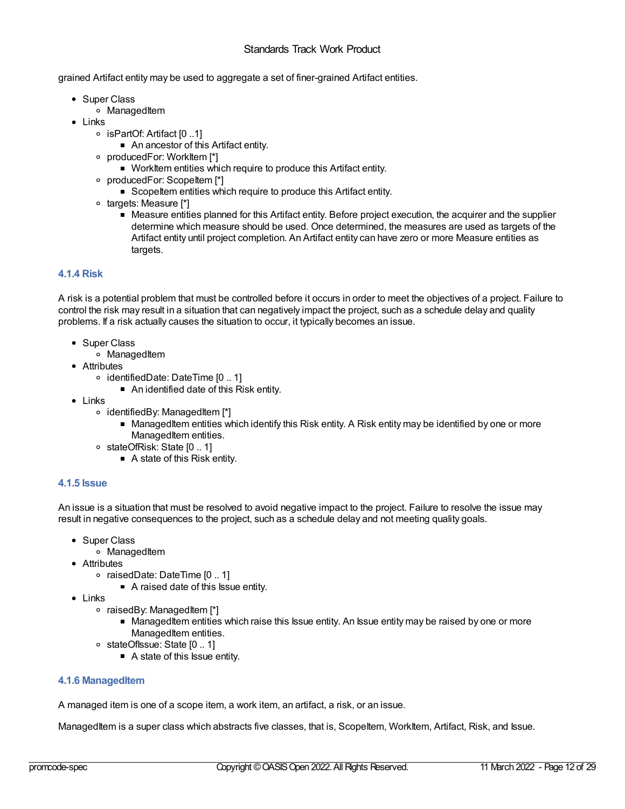grained Artifact entity may be used to aggregate a set of finer-grained Artifact entities.

- Super Class
	- o ManagedItem
- Links
	- isPartOf: Artifact [0 ..1]
		- An ancestor of this Artifact entity.
	- producedFor: WorkItem [\*]
		- WorkItem entities which require to produce this Artifact entity.
	- o producedFor: ScopeItem [\*]
		- **ScopeItem entities which require to produce this Artifact entity.**
	- o targets: Measure [\*]
		- Measure entities planned for this Artifact entity. Before project execution, the acquirer and the supplier determine which measure should be used. Once determined, the measures are used as targets of the Artifact entity until project completion. An Artifact entity can have zero or more Measure entities as targets.

## **4.1.4 Risk**

A risk is a potential problem that must be controlled before it occurs in order to meet the objectives of a project. Failure to control the risk may result in a situation that can negatively impact the project, such as a schedule delay and quality problems. If a risk actually causes the situation to occur, it typically becomes an issue.

- Super Class
	- o ManagedItem
- Attributes
	- identifiedDate: DateTime [0 .. 1]
		- An identified date of this Risk entity.
- Links
	- identifiedBy: ManagedItem [\*]
		- ManagedItem entities which identify this Risk entity. A Risk entity may be identified by one or more ManagedItem entities.
	- o stateOfRisk: State [0 .. 1]
		- A state of this Risk entity.

## **4.1.5 Issue**

An issue is a situation that must be resolved to avoid negative impact to the project. Failure to resolve the issue may result in negative consequences to the project, such as a schedule delay and not meeting quality goals.

- Super Class
	- o ManagedItem
- Attributes
	- raisedDate: DateTime [0 .. 1]
		- A raised date of this Issue entity.
- $\bullet$  links
	- $\circ$  raisedBy: ManagedItem [\*]
		- ManagedItem entities which raise this Issue entity. An Issue entity may be raised by one or more ManagedItem entities.
	- o stateOfIssue: State [0 .. 1]
		- A state of this Issue entity.

## **4.1.6 ManagedItem**

A managed item is one of a scope item, a work item, an artifact, a risk, or an issue.

ManagedItem is a super class which abstracts five classes, that is, ScopeItem, WorkItem, Artifact, Risk, and Issue.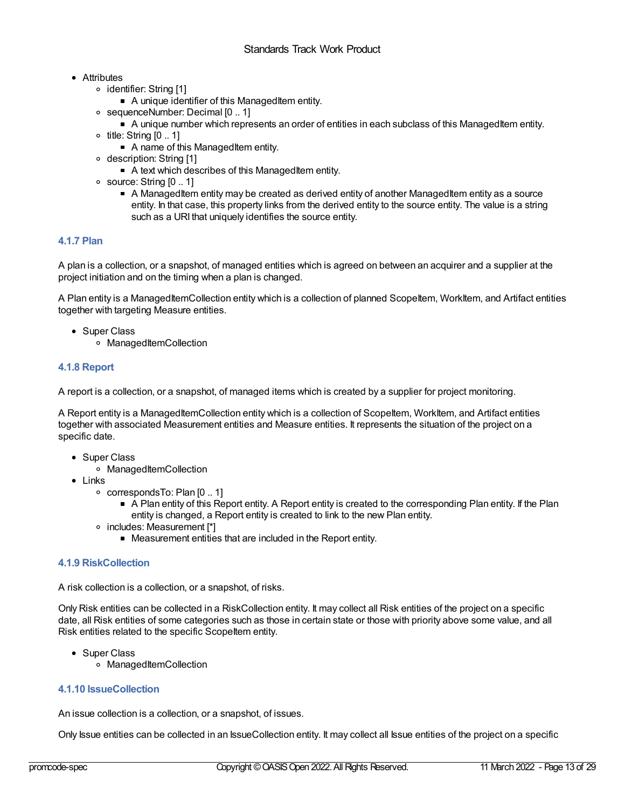## <span id="page-12-1"></span><span id="page-12-0"></span>• Attributes

- identifier: String [1]
	- A unique identifier of this ManagedItem entity.
- sequenceNumber: Decimal [0 .. 1]
	- A unique number which represents an order of entities in each subclass of this ManagedItem entity.
- $\circ$  title: String  $[0.. 1]$ 
	- A name of this ManagedItem entity.
- description: String [1]
	- A text which describes of this ManagedItem entity.
- $\circ$  source: String  $[0..1]$ 
	- A ManagedItem entity may be created as derived entity of another ManagedItem entity as a source entity. In that case, this property links from the derived entity to the source entity. The value is a string such as a URI that uniquely identifies the source entity.

## **4.1.7 Plan**

A plan is a collection, or a snapshot, of managed entities which is agreed on between an acquirer and a supplier at the project initiation and on the timing when a plan is changed.

A Plan entity is a ManagedItemCollection entity which is a collection of planned ScopeItem, WorkItem, and Artifact entities together with targeting Measure entities.

- Super Class
	- ManagedItemCollection

## **4.1.8 Report**

A report is a collection, or a snapshot, of managed items which is created by a supplier for project monitoring.

A Report entity is a ManagedItemCollection entity which is a collection of ScopeItem, WorkItem, and Artifact entities together with associated Measurement entities and Measure entities. It represents the situation of the project on a specific date.

- Super Class
	- ManagedItemCollection
- Links
	- correspondsTo: Plan [0 .. 1]
		- A Plan entity of this Report entity. A Report entity is created to the corresponding Plan entity. If the Plan entity is changed, a Report entity is created to link to the new Plan entity.
	- o includes: Measurement [\*]
		- Measurement entities that are included in the Report entity.

## **4.1.9 RiskCollection**

A risk collection is a collection, or a snapshot, of risks.

Only Risk entities can be collected in a RiskCollection entity. It may collect all Risk entities of the project on a specific date, all Risk entities of some categories such as those in certain state or those with priority above some value, and all Risk entities related to the specific ScopeItem entity.

- Super Class
	- ManagedItemCollection

## **4.1.10 IssueCollection**

An issue collection is a collection, or a snapshot, of issues.

Only Issue entities can be collected in an IssueCollection entity. It may collect all Issue entities of the project on a specific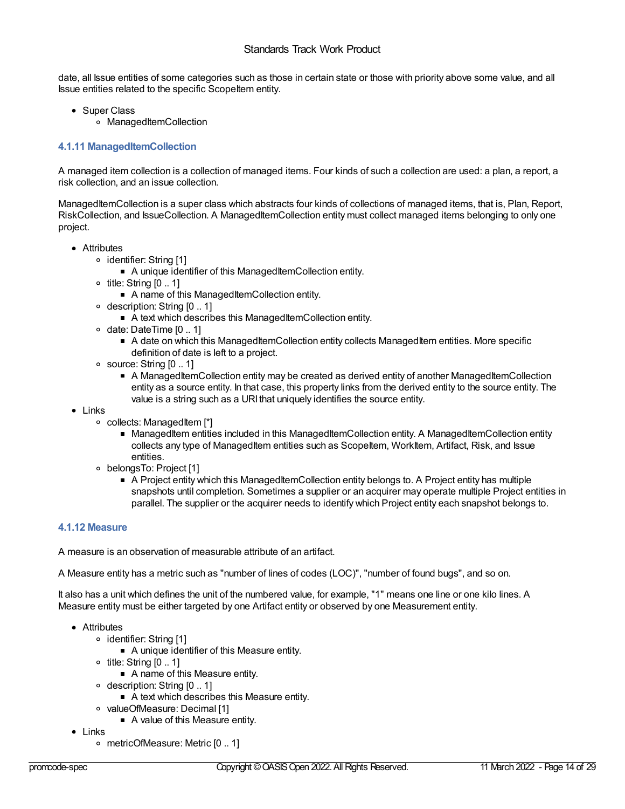date, all Issue entities of some categories such as those in certain state or those with priority above some value, and all Issue entities related to the specific ScopeItem entity.

- Super Class
	- o ManagedItemCollection

## **4.1.11 ManagedItemCollection**

A managed item collection is a collection of managed items. Four kinds of such a collection are used: a plan, a report, a risk collection, and an issue collection.

ManagedItemCollection is a super class which abstracts four kinds of collections of managed items, that is, Plan, Report, RiskCollection, and IssueCollection. A ManagedItemCollection entity must collect managed items belonging to only one project.

- Attributes
	- identifier: String [1]
		- A unique identifier of this ManagedItemCollection entity.
	- $\circ$  title: String  $[0, 1]$ 
		- A name of this ManagedItemCollection entity.
	- o description: String [0 .. 1]
		- A text which describes this ManagedItemCollection entity.
	- $\circ$  date: DateTime  $[0..1]$ 
		- A date on which this ManagedItemCollection entity collects ManagedItem entities. More specific definition of date is left to a project.
	- $\circ$  source: String  $[0..1]$ 
		- A ManagedItemCollection entity may be created as derived entity of another ManagedItemCollection entity as a source entity. In that case, this property links from the derived entity to the source entity. The value is a string such as a URI that uniquely identifies the source entity.
- Links
	- collects: ManagedItem [\*]
		- ManagedItem entities included in this ManagedItemCollection entity. A ManagedItemCollection entity collects any type of ManagedItem entities such as ScopeItem, WorkItem, Artifact, Risk, and Issue entities.
	- belongsTo: Project [1]
		- A Project entity which this ManagedItemCollection entity belongs to. A Project entity has multiple snapshots until completion. Sometimes a supplier or an acquirer may operate multiple Project entities in parallel. The supplier or the acquirer needs to identify which Project entity each snapshot belongs to.

## **4.1.12 Measure**

A measure is an observation of measurable attribute of an artifact.

A Measure entity has a metric such as "number of lines of codes (LOC)", "number of found bugs", and so on.

It also has a unit which defines the unit of the numbered value, for example, "1" means one line or one kilo lines. A Measure entity must be either targeted by one Artifact entity or observed by one Measurement entity.

- Attributes
	- identifier: String [1]
		- A unique identifier of this Measure entity.
	- $\circ$  title: String  $[0.. 1]$ 
		- A name of this Measure entity.
	- o description: String [0 .. 1]
		- A text which describes this Measure entity.
	- valueOfMeasure: Decimal [1] A value of this Measure entity.
- Links
	- metricOfMeasure: Metric [0 .. 1]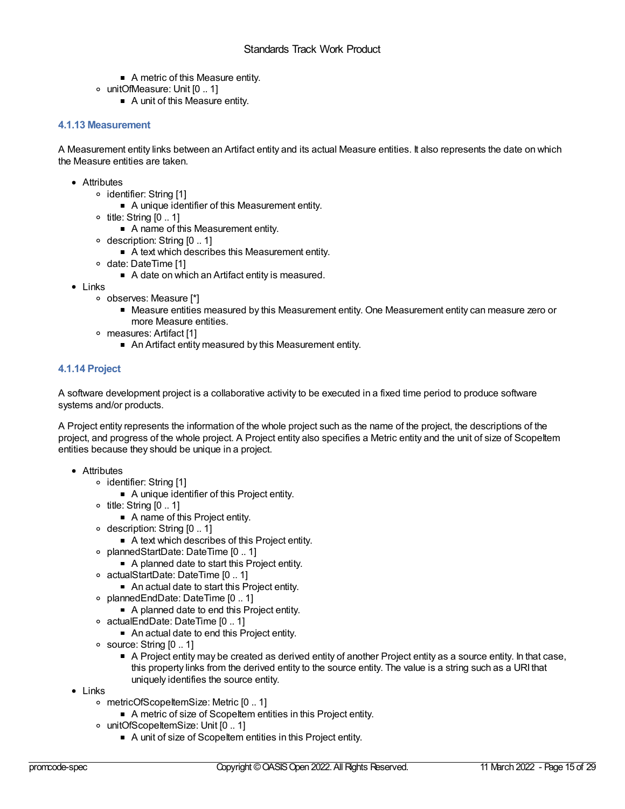- A metric of this Measure entity.
- unitOfMeasure: Unit [0 .. 1]
	- A unit of this Measure entity.

## **4.1.13 Measurement**

A Measurement entity links between an Artifact entity and its actual Measure entities. It also represents the date on which the Measure entities are taken.

- Attributes
	- o identifier: String [1]
		- A unique identifier of this Measurement entity.
	- $\circ$  title: String  $[0.. 1]$ 
		- A name of this Measurement entity.
	- description: String [0 .. 1]
		- A text which describes this Measurement entity.
	- ∘ date: DateTime [1]
		- A date on which an Artifact entity is measured.
- Links
	- observes: Measure [\*]
		- Measure entities measured by this Measurement entity. One Measurement entity can measure zero or more Measure entities.
	- measures: Artifact [1]
		- An Artifact entity measured by this Measurement entity.

## **4.1.14 Project**

A software development project is a collaborative activity to be executed in a fixed time period to produce software systems and/or products.

A Project entity represents the information of the whole project such as the name of the project, the descriptions of the project, and progress of the whole project. A Project entity also specifies a Metric entity and the unit of size of ScopeItem entities because they should be unique in a project.

- Attributes
	- identifier: String [1]
		- A unique identifier of this Project entity.
	- $\circ$  title: String  $[0.. 1]$ 
		- A name of this Project entity.
	- description: String [0 .. 1]
		- A text which describes of this Project entity.
	- plannedStartDate: DateTime [0 .. 1]
		- A planned date to start this Project entity.
	- actualStartDate: DateTime [0 .. 1]
		- An actual date to start this Project entity.
	- plannedEndDate: DateTime [0 .. 1]
		- A planned date to end this Project entity.
	- actualEndDate: DateTime [0 .. 1]
		- An actual date to end this Project entity.
	- $\circ$  source: String  $[0..1]$ 
		- A Project entity may be created as derived entity of another Project entity as a source entity. In that case, this property links from the derived entity to the source entity. The value is a string such as a URI that uniquely identifies the source entity.
- Links
	- metricOfScopeItemSize: Metric [0 .. 1]
		- A metric of size of ScopeItem entities in this Project entity.
	- unitOfScopeItemSize: Unit [0 .. 1]
		- A unit of size of ScopeItem entities in this Project entity.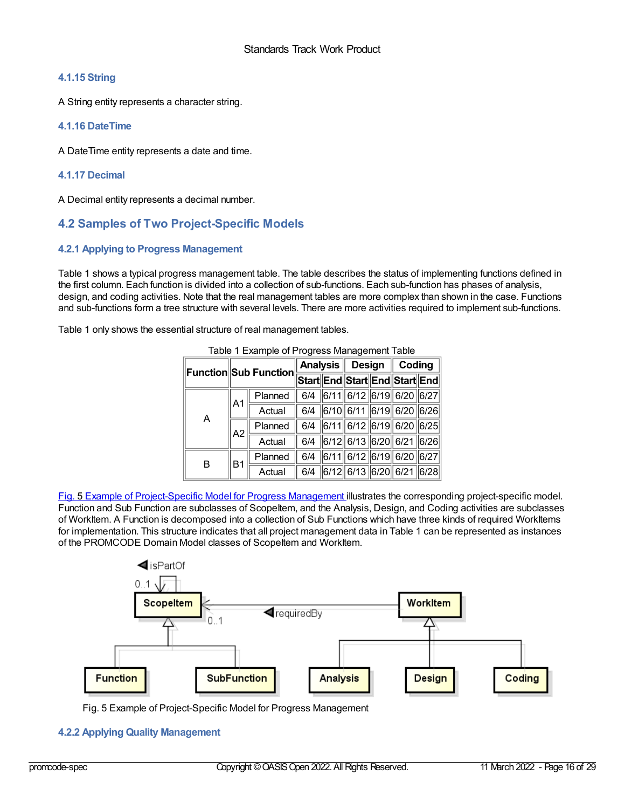## **4.1.15 String**

A String entity represents a character string.

## **4.1.16 DateTime**

A DateTime entity represents a date and time.

## **4.1.17 Decimal**

A Decimal entity represents a decimal number.

## <span id="page-15-0"></span>**4.2 Samples of Two Project-Specific Models**

## **4.2.1 Applying to Progress Management**

Table 1 shows a typical progress management table. The table describes the status of implementing functions defined in the first column. Each function is divided into a collection of sub-functions. Each sub-function has phases of analysis, design, and coding activities. Note that the real management tables are more complex than shown in the case. Functions and sub-functions form a tree structure with several levels. There are more activities required to implement sub-functions.

Table 1 only shows the essential structure of real management tables.

| Table T Example of Flogress Management Table |                                      |         |                               |  |                              |  |                           |  |
|----------------------------------------------|--------------------------------------|---------|-------------------------------|--|------------------------------|--|---------------------------|--|
|                                              | $\ $ Function $\ $ Sub Function $\ $ |         | <b>Analysis</b>               |  |                              |  | Design $\parallel$ Coding |  |
|                                              |                                      |         | Start End Start End Start End |  |                              |  |                           |  |
| A                                            | A <sub>1</sub>                       | Planned |                               |  | 6/4 6/11 6/12 6/19 6/20 6/27 |  |                           |  |
|                                              |                                      | Actual  |                               |  | 6/4 6/10 6/11 6/19 6/20 6/26 |  |                           |  |
|                                              | A2                                   | Planned |                               |  | 6/4 6/11 6/12 6/19 6/20 6/25 |  |                           |  |
|                                              |                                      | Actual  |                               |  | 6/4 6/12 6/13 6/20 6/21 6/26 |  |                           |  |
| в                                            | B1                                   | Planned |                               |  | 6/4 6/11 6/12 6/19 6/20 6/27 |  |                           |  |
|                                              |                                      | Actual  |                               |  | 6/4 6/12 6/13 6/20 6/21 6/28 |  |                           |  |

Table 1 Example of Progress Management Table

Fig. 5 Example of [Project-Specific](#page-15-1) Model for Progress Management illustrates the corresponding project-specific model. Function and Sub Function are subclasses of Scopeltem, and the Analysis, Design, and Coding activities are subclasses of WorkItem. A Function is decomposed into a collection of Sub Functions which have three kinds of required WorkItems for implementation. This structure indicates that all project management data in Table 1 can be represented as instances of the PROMCODE Domain Model classes of ScopeItem and WorkItem.

<span id="page-15-1"></span>

Fig. 5 Example of Project-Specific Model for Progress Management

## **4.2.2 Applying Quality Management**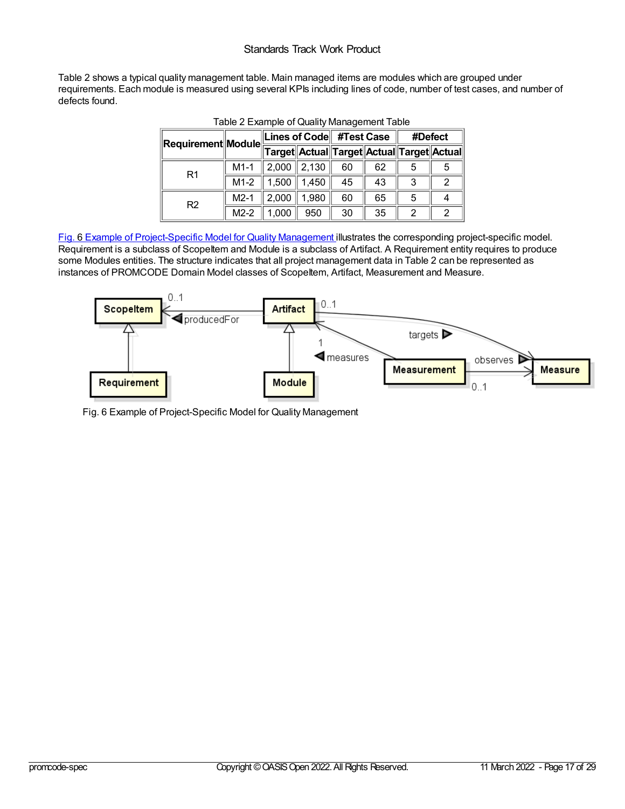## Standards Track Work Product

Table 2 shows a typical quality management table. Main managed items are modules which are grouped under requirements. Each module is measured using several KPIs including lines of code, number of test cases, and number of defects found.

| $\ $ Requirement $\ $ Module $\ $ |        | Lines of Code #Test Case |                                           |    |    | #Defect |  |  |
|-----------------------------------|--------|--------------------------|-------------------------------------------|----|----|---------|--|--|
|                                   |        |                          | Target Actual Target Actual Target Actual |    |    |         |  |  |
| R <sub>1</sub>                    | $M1-1$ | 2,000                    | 2,130                                     | 60 | 62 |         |  |  |
|                                   | $M1-2$ | 1,500                    | 1,450                                     | 45 | 43 | 3       |  |  |
| R <sub>2</sub>                    | $M2-1$ | 2,000                    | 1,980                                     | 60 | 65 | 5       |  |  |
|                                   | $M2-2$ |                          | 950                                       | 30 | 35 |         |  |  |

Fig. 6 Example of [Project-Specific](#page-16-0) Model for Quality Management illustrates the corresponding project-specific model. Requirement is a subclass of ScopeItem and Module is a subclass of Artifact. A Requirement entity requires to produce some Modules entities. The structure indicates that all project management data in Table 2 can be represented as instances of PROMCODE Domain Model classes of Scopeltem, Artifact, Measurement and Measure.

<span id="page-16-0"></span>

Fig. 6 Example of Project-Specific Model for Quality Management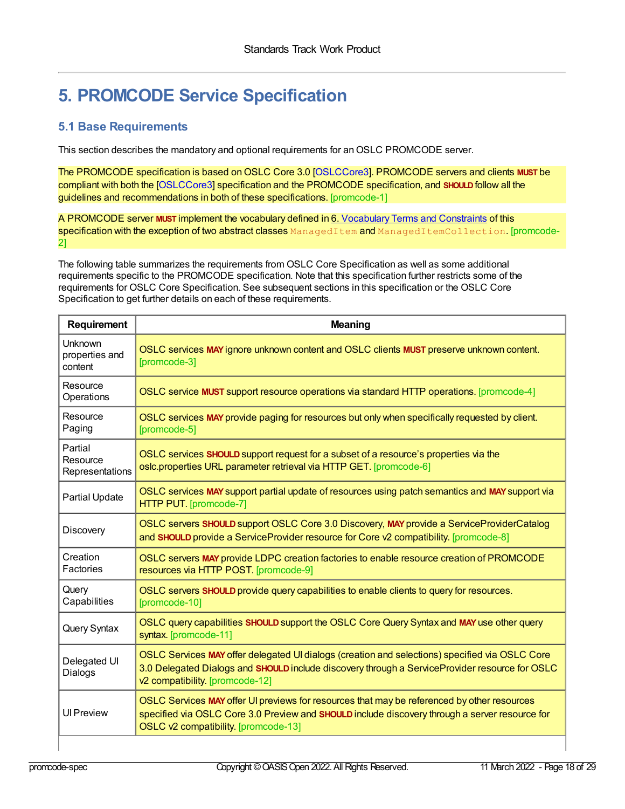## **5. PROMCODE Service Specification**

## <span id="page-17-0"></span>**5.1 Base Requirements**

This section describes the mandatory and optional requirements for an OSLC PROMCODE server.

<span id="page-17-1"></span>The PROMCODE specification is based onOSLC Core 3.0 [\[OSLCCore3](#page-28-0)]. PROMCODE servers and clients **MUST** be compliant with both the [\[OSLCCore3](#page-28-0)] specification and the PROMCODE specification, and **SHOULD**follow all the guidelines and recommendations in both of these specifications. [promcode-1]

<span id="page-17-2"></span>A PROMCODE server **MUST** implement the vocabulary defined in 6. [Vocabulary](#page-22-1) Terms and Constraints of this specification with the exception of two abstract classes ManagedItem and ManagedItemCollection. [promcode-2]

The following table summarizes the requirements from OSLC Core Specification as well as some additional requirements specific to the PROMCODE specification. Note that this specification further restricts some of the requirements for OSLC Core Specification. See subsequent sections in this specification or the OSLC Core Specification to get further details on each of these requirements.

<span id="page-17-13"></span><span id="page-17-12"></span><span id="page-17-11"></span><span id="page-17-10"></span><span id="page-17-9"></span><span id="page-17-8"></span><span id="page-17-7"></span><span id="page-17-6"></span><span id="page-17-5"></span><span id="page-17-4"></span><span id="page-17-3"></span>

| Requirement                            | <b>Meaning</b>                                                                                                                                                                                                                        |
|----------------------------------------|---------------------------------------------------------------------------------------------------------------------------------------------------------------------------------------------------------------------------------------|
| Unknown<br>properties and<br>content   | OSLC services MAY ignore unknown content and OSLC clients MUST preserve unknown content.<br>[promcode-3]                                                                                                                              |
| Resource<br>Operations                 | OSLC service MUST support resource operations via standard HTTP operations. [promcode-4]                                                                                                                                              |
| Resource<br>Paging                     | OSLC services MAY provide paging for resources but only when specifically requested by client.<br>[promcode-5]                                                                                                                        |
| Partial<br>Resource<br>Representations | OSLC services SHOULD support request for a subset of a resource's properties via the<br>oslc.properties URL parameter retrieval via HTTP GET. [promcode-6]                                                                            |
| Partial Update                         | OSLC services MAY support partial update of resources using patch semantics and MAY support via<br>HTTP PUT. [promcode-7]                                                                                                             |
| Discovery                              | OSLC servers SHOULD support OSLC Core 3.0 Discovery, MAY provide a ServiceProviderCatalog<br>and SHOULD provide a ServiceProvider resource for Core v2 compatibility. [promcode-8]                                                    |
| Creation<br>Factories                  | OSLC servers MAY provide LDPC creation factories to enable resource creation of PROMCODE<br>resources via HTTP POST. [promcode-9]                                                                                                     |
| Query<br>Capabilities                  | OSLC servers SHOULD provide query capabilities to enable clients to query for resources.<br>[promcode-10]                                                                                                                             |
| Query Syntax                           | OSLC query capabilities SHOULD support the OSLC Core Query Syntax and MAY use other query<br>syntax. [promcode-11]                                                                                                                    |
| Delegated UI<br>Dialogs                | OSLC Services MAY offer delegated UI dialogs (creation and selections) specified via OSLC Core<br>3.0 Delegated Dialogs and SHOULD include discovery through a ServiceProvider resource for OSLC<br>v2 compatibility. [promcode-12]   |
| <b>UI Preview</b>                      | OSLC Services MAY offer UI previews for resources that may be referenced by other resources<br>specified via OSLC Core 3.0 Preview and SHOULD include discovery through a server resource for<br>OSLC v2 compatibility. [promcode-13] |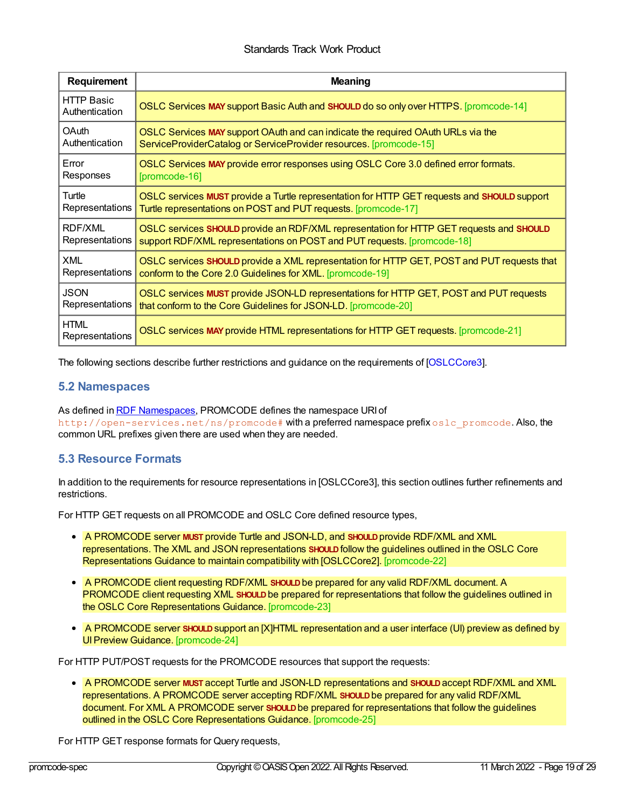## Standards Track Work Product

<span id="page-18-4"></span><span id="page-18-3"></span><span id="page-18-2"></span><span id="page-18-1"></span>

| Requirement                         | <b>Meaning</b>                                                                              |
|-------------------------------------|---------------------------------------------------------------------------------------------|
| <b>HTTP Basic</b><br>Authentication | OSLC Services MAY support Basic Auth and SHOULD do so only over HTTPS. [promcode-14]        |
| OAuth                               | OSLC Services MAY support OAuth and can indicate the required OAuth URLs via the            |
| Authentication                      | ServiceProviderCatalog or ServiceProvider resources. [promcode-15]                          |
| Error                               | OSLC Services MAY provide error responses using OSLC Core 3.0 defined error formats.        |
| Responses                           | [promcode-16]                                                                               |
| Turtle                              | OSLC services MUST provide a Turtle representation for HTTP GET requests and SHOULD support |
| Representations                     | Turtle representations on POST and PUT requests. [promcode-17]                              |
| <b>RDF/XML</b>                      | OSLC services SHOULD provide an RDF/XML representation for HTTP GET requests and SHOULD     |
| Representations                     | support RDF/XML representations on POST and PUT requests. [promcode-18]                     |
| <b>XML</b>                          | OSLC services SHOULD provide a XML representation for HTTP GET, POST and PUT requests that  |
| Representations                     | conform to the Core 2.0 Guidelines for XML. [promcode-19]                                   |
| <b>JSON</b>                         | OSLC services MUST provide JSON-LD representations for HTTP GET, POST and PUT requests      |
| Representations                     | that conform to the Core Guidelines for JSON-LD. [promcode-20]                              |
| <b>HTML</b><br>Representations      | OSLC services MAY provide HTML representations for HTTP GET requests. [promcode-21]         |

<span id="page-18-8"></span><span id="page-18-7"></span><span id="page-18-6"></span><span id="page-18-5"></span>The following sections describe further restrictions and guidance on the requirements of [\[OSLCCore3](#page-28-0)].

## <span id="page-18-0"></span>**5.2 Namespaces**

As defined in RDF [Namespaces](#page-6-0), PROMCODE defines the namespace URI of http://open-services.net/ns/promcode# with a preferred namespace prefix oslc\_promcode. Also, the common URL prefixes given there are used when they are needed.

## **5.3 Resource Formats**

In addition to the requirements for resource representations in [OSLCCore3], this section outlines further refinements and restrictions.

For HTTP GET requests on all PROMCODE and OSLC Core defined resource types,

- <span id="page-18-9"></span>A PROMCODE server **MUST** provide Turtle and JSON-LD, and **SHOULD**provide RDF/XML and XML representations. The XML and JSON representations **SHOULD**follow the guidelines outlined in the OSLC Core Representations Guidance to maintain compatibility with [OSLCCore2]. [promcode-22]
- <span id="page-18-10"></span>A PROMCODE client requesting RDF/XML **SHOULD**be prepared for any valid RDF/XML document. A PROMCODE client requesting XML **SHOULD**be prepared for representations that follow the guidelines outlined in the OSLC Core Representations Guidance. [promcode-23]
- <span id="page-18-11"></span>A PROMCODE server **SHOULD**support an [X]HTML representation and a user interface (UI) preview as defined by UI Preview Guidance. [promcode-24]

For HTTP PUT/POST requests for the PROMCODE resources that support the requests:

<span id="page-18-12"></span>A PROMCODE server **MUST** accept Turtle and JSON-LD representations and **SHOULD**accept RDF/XML and XML representations. A PROMCODE server accepting RDF/XML **SHOULD**be prepared for any valid RDF/XML document. For XML A PROMCODE server **SHOULD**be prepared for representations that follow the guidelines outlined in the OSLC Core Representations Guidance. [promcode-25]

For HTTP GET response formats for Query requests,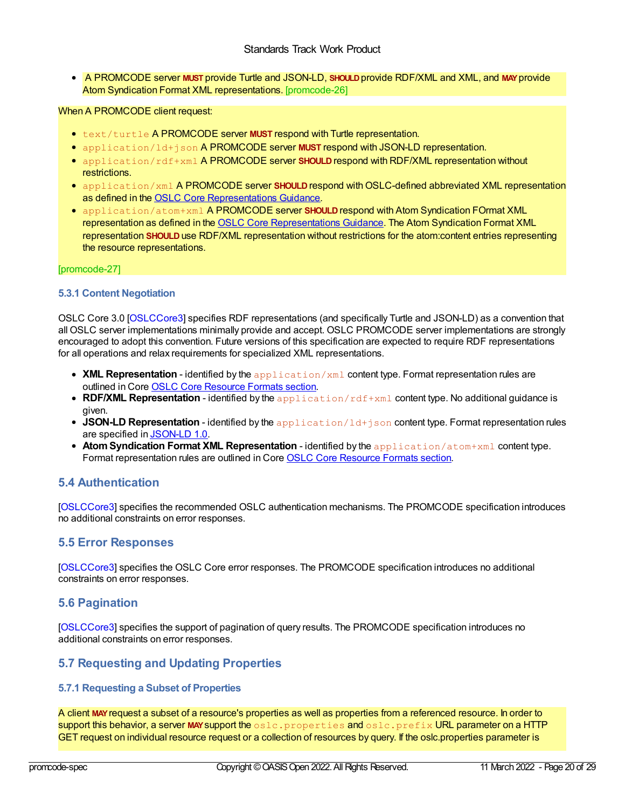<span id="page-19-4"></span><span id="page-19-0"></span>A PROMCODE server **MUST** provide Turtle and JSON-LD, **SHOULD**provide RDF/XML and XML, and **MAY**provide Atom Syndication Format XML representations. [promcode-26]

## <span id="page-19-5"></span>When A PROMCODE client request:

- **text/turtle A PROMCODE server MUST respond with Turtle representation.**
- application/ld+json A PROMCODE server **MUST** respond with JSON-LD representation.
- **•** application/rdf+xml A PROMCODE server SHOULD respond with RDF/XML representation without restrictions.
- application/xml A PROMCODE server SHOULD respond with OSLC-defined abbreviated XML representation as defined in the OSLC Core [Representations](http://open-services.net/bin/view/Main/OSLCCoreSpecAppendixRepresentations) Guidance.
- application/atom+xml A PROMCODE server **SHOULD**respond with Atom Syndication FOrmat XML representation as defined in the OSLC Core [Representations](http://open-services.net/bin/view/Main/OSLCCoreSpecAppendixRepresentations) Guidance. The Atom Syndication Format XML representation **SHOULD**use RDF/XML representation without restrictions for the atom:content entries representing the resource representations.

#### [promcode-27]

## **5.3.1 Content Negotiation**

OSLC Core 3.0 [\[OSLCCore3](#page-28-0)] specifies RDF representations (and specifically Turtle and JSON-LD) as a convention that all OSLC server implementations minimally provide and accept. OSLC PROMCODE server implementations are strongly encouraged to adopt this convention. Future versions of this specification are expected to require RDF representations for all operations and relax requirements for specialized XML representations.

- **XML Representation** identified by the application/xml content type. Format representation rules are outlined in Core OSLC Core [Resource](http://open-services.net/bin/view/Main/OSLCCoreSpecAppendixRepresentations) Formats section.
- **RDF/XML Representation** identified by the application/rdf+xml content type. No additional guidance is given.
- **JSON-LD Representation** identified by the application/ld+json content type. Format representation rules are specified in [JSON-LD](http://www.w3.org/TR/json-ld/) 1.0.
- **AtomSyndication Format XML Representation** identified by the application/atom+xml content type. Format representation rules are outlined in Core OSLC Core [Resource](http://open-services.net/bin/view/Main/OSLCCoreSpecAppendixRepresentations) Formats section.

## <span id="page-19-1"></span>**5.4 Authentication**

[\[OSLCCore3](#page-28-0)] specifies the recommended OSLC authentication mechanisms. The PROMCODE specification introduces no additional constraints on error responses.

## <span id="page-19-2"></span>**5.5 Error Responses**

[\[OSLCCore3](#page-28-0)] specifies the OSLC Core error responses. The PROMCODE specification introduces no additional constraints on error responses.

## <span id="page-19-3"></span>**5.6 Pagination**

[\[OSLCCore3](#page-28-0)] specifies the support of pagination of query results. The PROMCODE specification introduces no additional constraints on error responses.

## **5.7 Requesting and Updating Properties**

## **5.7.1 Requesting a Subset of Properties**

<span id="page-19-6"></span>A client **MAY**request a subset of a resource's properties as well as properties from a referenced resource. In order to support this behavior, a server MAY support the oslc.properties and oslc.prefix URL parameter on a HTTP GET request on individual resource request or a collection of resources by query. If the oslc.properties parameter is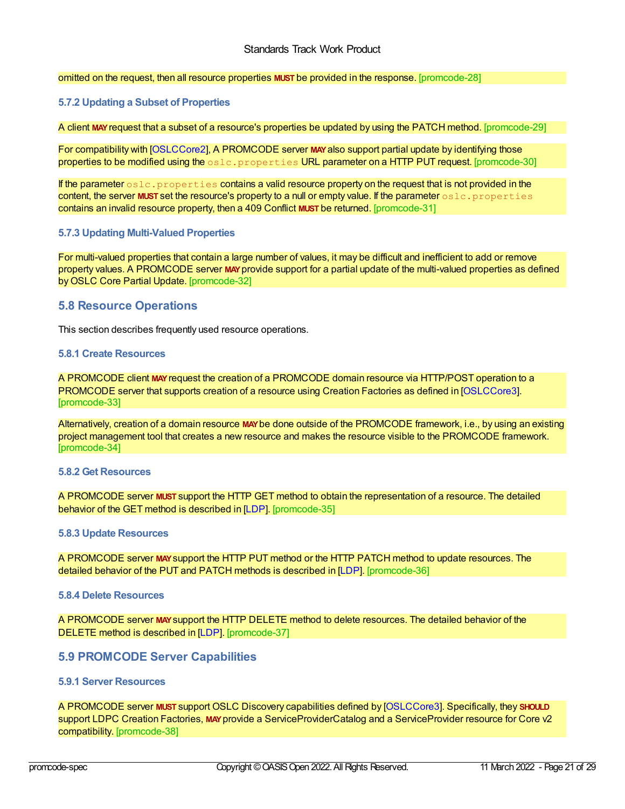<span id="page-20-0"></span>omitted on the request, then all resource properties **MUST** be provided in the response. [promcode-28]

#### **5.7.2 Updating a Subset of Properties**

<span id="page-20-2"></span>A client **MAY**request that a subset of a resource's properties be updated by using the PATCH method. [promcode-29]

<span id="page-20-3"></span>For compatibility with [\[OSLCCore2](#page-28-14)], A PROMCODE server MAY also support partial update by identifying those properties to be modified using the oslc.properties URL parameter on a HTTP PUT request. [promcode-30]

<span id="page-20-4"></span>If the parameter  $\circ$ slc.properties contains a valid resource property on the request that is not provided in the content, the server **MUST** set the resource's property to a null or empty value. If the parameter oslc.properties contains an invalid resource property, then a 409 Conflict **MUST** be returned. [promcode-31]

#### **5.7.3 Updating Multi-Valued Properties**

<span id="page-20-5"></span>For multi-valued properties that contain a large number of values, it may be difficult and inefficient to add or remove property values. A PROMCODE server **MAY**provide support for a partial update of the multi-valued properties as defined byOSLC Core Partial Update. [promcode-32]

## <span id="page-20-1"></span>**5.8 Resource Operations**

This section describes frequently used resource operations.

#### **5.8.1 Create Resources**

<span id="page-20-6"></span>A PROMCODE client **MAY**request the creation of a PROMCODE domain resource via HTTP/POST operation to a PROMCODE server that supports creation of a resource using Creation Factories as defined in [\[OSLCCore3](#page-28-0)]. [promcode-33]

<span id="page-20-7"></span>Alternatively, creation of a domain resource **MAY**be done outside of the PROMCODE framework, i.e., by using an existing project management tool that creates a new resource and makes the resource visible to the PROMCODE framework. [promcode-34]

## **5.8.2 Get Resources**

<span id="page-20-8"></span>A PROMCODE server **MUST** support the HTTP GET method to obtain the representation of a resource. The detailed behavior of the GET method is described in [\[LDP](#page-28-12)]. [promcode-35]

#### **5.8.3 Update Resources**

<span id="page-20-9"></span>A PROMCODE server **MAY**support the HTTP PUT method or the HTTP PATCH method to update resources. The detailed behavior of the PUT and PATCH methods is described in [\[LDP](#page-28-12)]. [promcode-36]

#### **5.8.4 Delete Resources**

<span id="page-20-10"></span>A PROMCODE server **MAY**support the HTTP DELETE method to delete resources. The detailed behavior of the DELETE method is described in [\[LDP](#page-28-12)]. [promcode-37]

## **5.9 PROMCODE Server Capabilities**

## **5.9.1 Server Resources**

<span id="page-20-11"></span>A PROMCODE server **MUST** support OSLC Discovery capabilities defined by [\[OSLCCore3](#page-28-0)]. Specifically, they **SHOULD** support LDPC Creation Factories, **MAY**provide a ServiceProviderCatalog and a ServiceProvider resource for Core v2 compatibility. [promcode-38]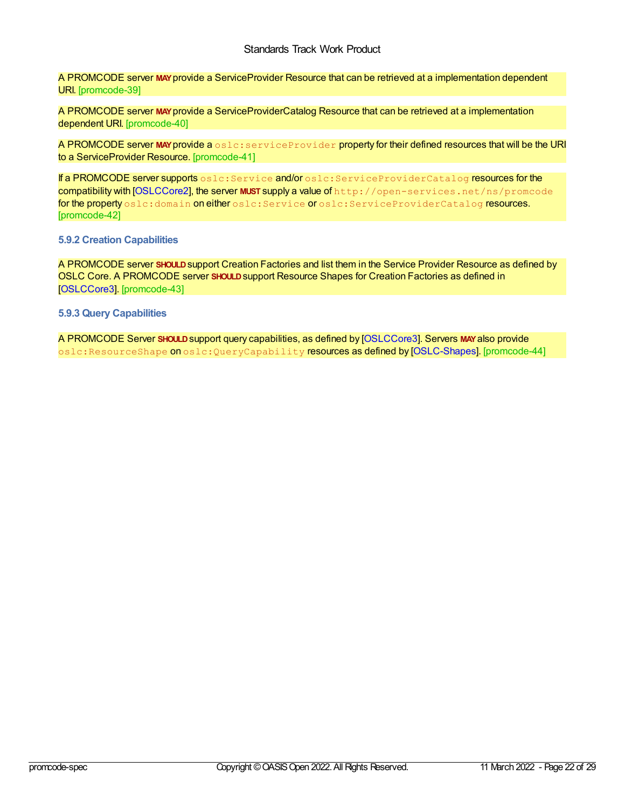<span id="page-21-1"></span><span id="page-21-0"></span>A PROMCODE server **MAY**provide a ServiceProvider Resource that can be retrieved at a implementation dependent URI. [promcode-39]

<span id="page-21-2"></span>A PROMCODE server **MAY**provide a ServiceProviderCatalog Resource that can be retrieved at a implementation dependent URI. [promcode-40]

<span id="page-21-3"></span>A PROMCODE server MAY provide a oslc: serviceProvider property for their defined resources that will be the URI to a ServiceProvider Resource. [promcode-41]

<span id="page-21-4"></span>If a PROMCODE server supports oslc: Service and/or oslc: ServiceProviderCatalog resources for the compatibility with [\[OSLCCore2](#page-28-14)], the server **MUST** supply a value of http://open-services.net/ns/promcode for the property oslc:domain on either oslc: Service or oslc: ServiceProviderCatalog resources. [promcode-42]

#### **5.9.2 Creation Capabilities**

<span id="page-21-5"></span>A PROMCODE server **SHOULD**support Creation Factories and list them in the Service Provider Resource as defined by OSLC Core. A PROMCODE server **SHOULD**support Resource Shapes for Creation Factories as defined in [\[OSLCCore3](#page-28-0)]. [promcode-43]

**5.9.3 Query Capabilities**

<span id="page-21-6"></span>A PROMCODE Server **SHOULD**support query capabilities, as defined by [\[OSLCCore3](#page-28-0)]. Servers **MAY**also provide oslc:ResourceShape on oslc:QueryCapability resources as defined by [\[OSLC-Shapes](#page-28-15)]. [promcode-44]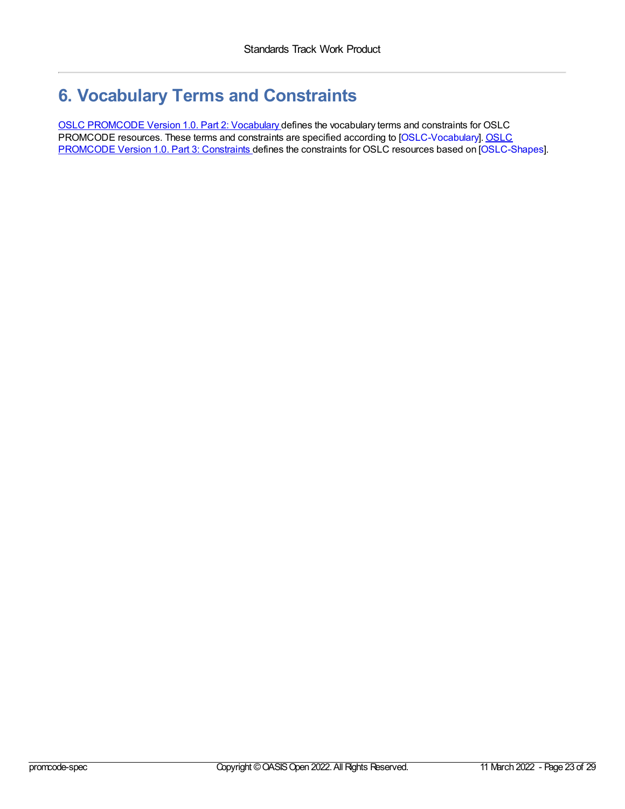## <span id="page-22-1"></span><span id="page-22-0"></span>**6. Vocabulary Terms and Constraints**

OSLC [PROMCODE](#page-0-0) Version 1.0. Part 2: Vocabulary defines the vocabulary terms and constraints for OSLC PROMCODE resources. These terms and constraints are specified according to [\[OSLC-Vocabulary\].](#page-0-0) OSLC PROMCODE Version 1.0. Part 3: Constraints defines the constraints for OSLC resources based on [\[OSLC-Shapes](#page-28-15)].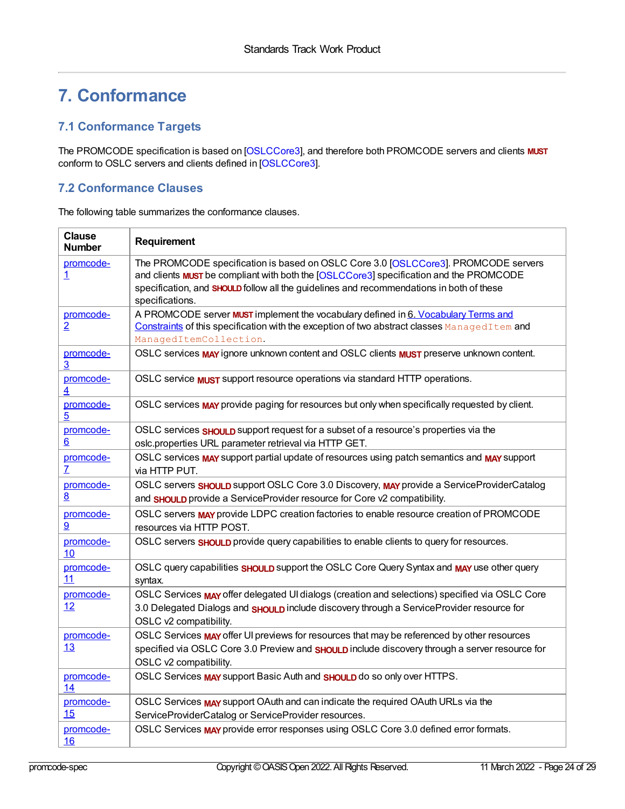## **7. Conformance**

## <span id="page-23-0"></span>**7.1 Conformance Targets**

The PROMCODE specification is based on [[OSLCCore3](#page-28-0)], and therefore both PROMCODE servers and clients **MUST** conform to OSLC servers and clients defined in [\[OSLCCore3](#page-28-0)].

## <span id="page-23-1"></span>**7.2 Conformance Clauses**

The following table summarizes the conformance clauses.

| <b>Clause</b><br><b>Number</b> | Requirement                                                                                                                                                                                                                                                                                        |
|--------------------------------|----------------------------------------------------------------------------------------------------------------------------------------------------------------------------------------------------------------------------------------------------------------------------------------------------|
| promcode-<br>$\overline{1}$    | The PROMCODE specification is based on OSLC Core 3.0 [OSLCCore3]. PROMCODE servers<br>and clients <b>MUST</b> be compliant with both the [OSLCCore3] specification and the PROMCODE<br>specification, and SHOULD follow all the guidelines and recommendations in both of these<br>specifications. |
| promcode-<br>$\overline{2}$    | A PROMCODE server <b>MUST</b> implement the vocabulary defined in 6. Vocabulary Terms and<br>Constraints of this specification with the exception of two abstract classes ManagedItem and<br>ManagedItemCollection.                                                                                |
| promcode-<br>$\overline{3}$    | OSLC services MAY ignore unknown content and OSLC clients MUST preserve unknown content.                                                                                                                                                                                                           |
| promcode-<br>4                 | OSLC service <b>MUST</b> support resource operations via standard HTTP operations.                                                                                                                                                                                                                 |
| promcode-<br>$\overline{5}$    | OSLC services MAY provide paging for resources but only when specifically requested by client.                                                                                                                                                                                                     |
| promcode-<br>6                 | OSLC services <b>SHOULD</b> support request for a subset of a resource's properties via the<br>oslc.properties URL parameter retrieval via HTTP GET.                                                                                                                                               |
| promcode-<br>$\overline{L}$    | OSLC services MAY support partial update of resources using patch semantics and MAY support<br>via HTTP PUT.                                                                                                                                                                                       |
| promcode-<br>$\underline{8}$   | OSLC servers <b>SHOULD</b> support OSLC Core 3.0 Discovery, MAY provide a ServiceProviderCatalog<br>and <b>SHOULD</b> provide a ServiceProvider resource for Core v2 compatibility.                                                                                                                |
| promcode-<br>9                 | OSLC servers MAY provide LDPC creation factories to enable resource creation of PROMCODE<br>resources via HTTP POST.                                                                                                                                                                               |
| promcode-<br>10                | OSLC servers <b>SHOULD</b> provide query capabilities to enable clients to query for resources.                                                                                                                                                                                                    |
| promcode-<br>11                | OSLC query capabilities <b>SHOULD</b> support the OSLC Core Query Syntax and <b>MAY</b> use other query<br>syntax.                                                                                                                                                                                 |
| promcode-<br>12                | OSLC Services MAY offer delegated UI dialogs (creation and selections) specified via OSLC Core<br>3.0 Delegated Dialogs and SHOULD include discovery through a ServiceProvider resource for<br>OSLC v2 compatibility.                                                                              |
| promcode-<br>13                | OSLC Services MAY offer UI previews for resources that may be referenced by other resources<br>specified via OSLC Core 3.0 Preview and SHOULD include discovery through a server resource for<br>OSLC v2 compatibility.                                                                            |
| promcode-<br>14                | OSLC Services MAY support Basic Auth and SHOULD do so only over HTTPS.                                                                                                                                                                                                                             |
| promcode-<br>15                | OSLC Services MAY support OAuth and can indicate the required OAuth URLs via the<br>ServiceProviderCatalog or ServiceProvider resources.                                                                                                                                                           |
| promcode-<br>16                | OSLC Services MAY provide error responses using OSLC Core 3.0 defined error formats.                                                                                                                                                                                                               |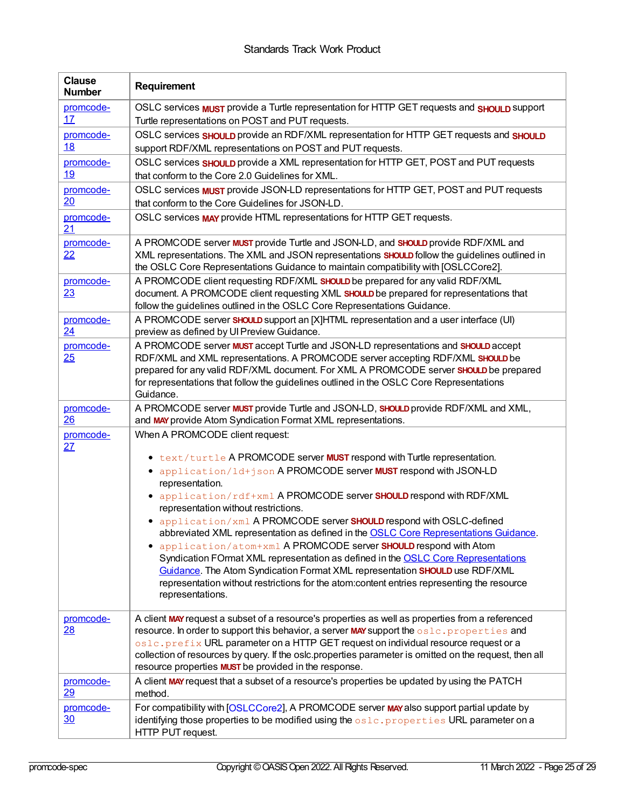<span id="page-24-0"></span>

| <b>Clause</b><br><b>Number</b> | Requirement                                                                                                                                                                                                                                                                                                                                                                                                                                                                                                                                                                                                                                                                                                                                                                                                                                      |
|--------------------------------|--------------------------------------------------------------------------------------------------------------------------------------------------------------------------------------------------------------------------------------------------------------------------------------------------------------------------------------------------------------------------------------------------------------------------------------------------------------------------------------------------------------------------------------------------------------------------------------------------------------------------------------------------------------------------------------------------------------------------------------------------------------------------------------------------------------------------------------------------|
| promcode-<br>17                | OSLC services <b>MUST</b> provide a Turtle representation for HTTP GET requests and <b>SHOULD</b> support<br>Turtle representations on POST and PUT requests.                                                                                                                                                                                                                                                                                                                                                                                                                                                                                                                                                                                                                                                                                    |
| promcode-<br><u>18</u>         | OSLC services <b>SHOULD</b> provide an RDF/XML representation for HTTP GET requests and <b>SHOULD</b><br>support RDF/XML representations on POST and PUT requests.                                                                                                                                                                                                                                                                                                                                                                                                                                                                                                                                                                                                                                                                               |
| promcode-<br><u>19</u>         | OSLC services SHOULD provide a XML representation for HTTP GET, POST and PUT requests<br>that conform to the Core 2.0 Guidelines for XML.                                                                                                                                                                                                                                                                                                                                                                                                                                                                                                                                                                                                                                                                                                        |
| promcode-<br>20                | OSLC services <b>MUST</b> provide JSON-LD representations for HTTP GET, POST and PUT requests<br>that conform to the Core Guidelines for JSON-LD.                                                                                                                                                                                                                                                                                                                                                                                                                                                                                                                                                                                                                                                                                                |
| promcode-<br>21                | OSLC services MAY provide HTML representations for HTTP GET requests.                                                                                                                                                                                                                                                                                                                                                                                                                                                                                                                                                                                                                                                                                                                                                                            |
| promcode-<br>22                | A PROMCODE server <b>MUST</b> provide Turtle and JSON-LD, and SHOULD provide RDF/XML and<br>XML representations. The XML and JSON representations SHOULD follow the guidelines outlined in<br>the OSLC Core Representations Guidance to maintain compatibility with [OSLCCore2].                                                                                                                                                                                                                                                                                                                                                                                                                                                                                                                                                                 |
| promcode-<br>23                | A PROMCODE client requesting RDF/XML SHOULD be prepared for any valid RDF/XML<br>document. A PROMCODE client requesting XML SHOULD be prepared for representations that<br>follow the guidelines outlined in the OSLC Core Representations Guidance.                                                                                                                                                                                                                                                                                                                                                                                                                                                                                                                                                                                             |
| promcode-<br>24                | A PROMCODE server SHOULD support an [X]HTML representation and a user interface (UI)<br>preview as defined by UI Preview Guidance.                                                                                                                                                                                                                                                                                                                                                                                                                                                                                                                                                                                                                                                                                                               |
| promcode-<br>25                | A PROMCODE server MUST accept Turtle and JSON-LD representations and SHOULD accept<br>RDF/XML and XML representations. A PROMCODE server accepting RDF/XML SHOULD be<br>prepared for any valid RDF/XML document. For XML A PROMCODE server SHOULD be prepared<br>for representations that follow the guidelines outlined in the OSLC Core Representations<br>Guidance.                                                                                                                                                                                                                                                                                                                                                                                                                                                                           |
| promcode-<br>26                | A PROMCODE server MUST provide Turtle and JSON-LD, SHOULD provide RDF/XML and XML,<br>and MAY provide Atom Syndication Format XML representations.                                                                                                                                                                                                                                                                                                                                                                                                                                                                                                                                                                                                                                                                                               |
| promcode-<br>27                | When A PROMCODE client request:<br>• text/turtle A PROMCODE server MUST respond with Turtle representation.<br>• application/ld+json A PROMCODE server MUST respond with JSON-LD<br>representation.<br>• application/rdf+xml A PROMCODE server SHOULD respond with RDF/XML<br>representation without restrictions.<br>• application/xml A PROMCODE server SHOULD respond with OSLC-defined<br>abbreviated XML representation as defined in the OSLC Core Representations Guidance.<br>application/atom+xml A PROMCODE server SHOULD respond with Atom<br>٠<br>Syndication FOrmat XML representation as defined in the OSLC Core Representations<br>Guidance. The Atom Syndication Format XML representation SHOULD use RDF/XML<br>representation without restrictions for the atom:content entries representing the resource<br>representations. |
| promcode-<br>28                | A client MAY request a subset of a resource's properties as well as properties from a referenced<br>resource. In order to support this behavior, a server MAY support the oslc. properties and<br>oslc.prefix URL parameter on a HTTP GET request on individual resource request or a<br>collection of resources by query. If the oslc.properties parameter is omitted on the request, then all<br>resource properties <b>MUST</b> be provided in the response.                                                                                                                                                                                                                                                                                                                                                                                  |
| promcode-<br>29                | A client MAY request that a subset of a resource's properties be updated by using the PATCH<br>method.                                                                                                                                                                                                                                                                                                                                                                                                                                                                                                                                                                                                                                                                                                                                           |
| promcode-<br>30                | For compatibility with [OSLCCore2], A PROMCODE server MAY also support partial update by<br>identifying those properties to be modified using the $\circ$ slc.properties URL parameter on a<br>HTTP PUT request.                                                                                                                                                                                                                                                                                                                                                                                                                                                                                                                                                                                                                                 |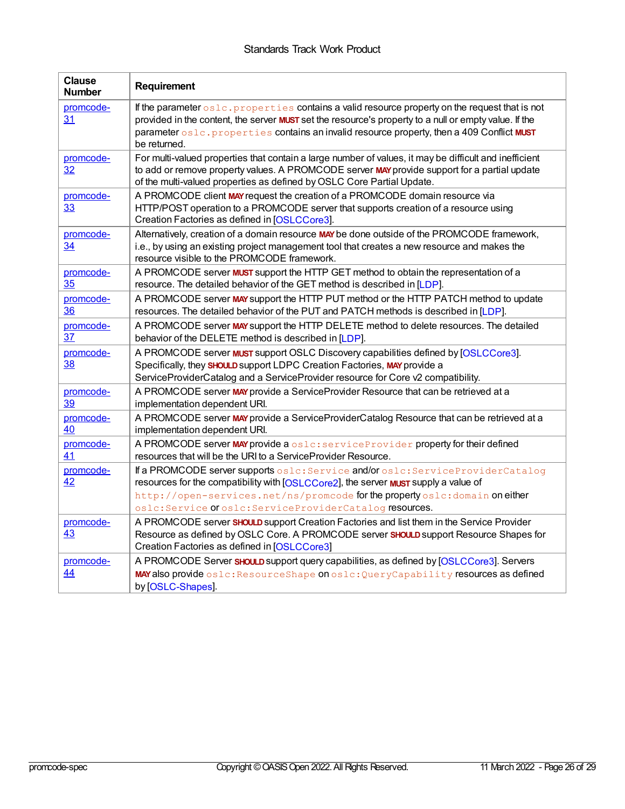| <b>Clause</b><br><b>Number</b> | Requirement                                                                                                                                                                                                                                                                                                                  |
|--------------------------------|------------------------------------------------------------------------------------------------------------------------------------------------------------------------------------------------------------------------------------------------------------------------------------------------------------------------------|
| promcode-<br>31                | If the parameter oslc. properties contains a valid resource property on the request that is not<br>provided in the content, the server <b>MUST</b> set the resource's property to a null or empty value. If the<br>parameter oslc.properties contains an invalid resource property, then a 409 Conflict MUST<br>be returned. |
| promcode-<br>32                | For multi-valued properties that contain a large number of values, it may be difficult and inefficient<br>to add or remove property values. A PROMCODE server MAY provide support for a partial update<br>of the multi-valued properties as defined by OSLC Core Partial Update.                                             |
| promcode-<br>33                | A PROMCODE client MAY request the creation of a PROMCODE domain resource via<br>HTTP/POST operation to a PROMCODE server that supports creation of a resource using<br>Creation Factories as defined in [OSLCCore3].                                                                                                         |
| promcode-<br>$\overline{34}$   | Alternatively, creation of a domain resource MAY be done outside of the PROMCODE framework,<br>i.e., by using an existing project management tool that creates a new resource and makes the<br>resource visible to the PROMCODE framework.                                                                                   |
| promcode-<br>35                | A PROMCODE server <b>MUST</b> support the HTTP GET method to obtain the representation of a<br>resource. The detailed behavior of the GET method is described in [LDP].                                                                                                                                                      |
| promcode-<br><u>36</u>         | A PROMCODE server MAY support the HTTP PUT method or the HTTP PATCH method to update<br>resources. The detailed behavior of the PUT and PATCH methods is described in [LDP].                                                                                                                                                 |
| promcode-<br>37                | A PROMCODE server MAY support the HTTP DELETE method to delete resources. The detailed<br>behavior of the DELETE method is described in [LDP].                                                                                                                                                                               |
| promcode-<br>38                | A PROMCODE server <b>MUST</b> support OSLC Discovery capabilities defined by [OSLCCore3].<br>Specifically, they SHOULD support LDPC Creation Factories, MAY provide a<br>ServiceProviderCatalog and a ServiceProvider resource for Core v2 compatibility.                                                                    |
| promcode-<br>39                | A PROMCODE server MAY provide a ServiceProvider Resource that can be retrieved at a<br>implementation dependent URI.                                                                                                                                                                                                         |
| promcode-<br>40                | A PROMCODE server MAY provide a ServiceProviderCatalog Resource that can be retrieved at a<br>implementation dependent URI.                                                                                                                                                                                                  |
| promcode-<br>41                | A PROMCODE server MAY provide a oslc: serviceProvider property for their defined<br>resources that will be the URI to a ServiceProvider Resource.                                                                                                                                                                            |
| promcode-<br>42                | If a PROMCODE server supports oslc: Service and/or oslc: ServiceProviderCatalog<br>resources for the compatibility with [OSLCCore2], the server <b>MUST</b> supply a value of<br>http://open-services.net/ns/promcode for the property oslc:domain on either<br>oslc: Service Of oslc: ServiceProviderCatalog resources.     |
| promcode-<br>43                | A PROMCODE server SHOULD support Creation Factories and list them in the Service Provider<br>Resource as defined by OSLC Core. A PROMCODE server SHOULD support Resource Shapes for<br>Creation Factories as defined in [OSLCCore3]                                                                                          |
| promcode-<br>44                | A PROMCODE Server SHOULD support query capabilities, as defined by [OSLCCore3]. Servers<br>MAY also provide oslc: ResourceShape on oslc: QueryCapability resources as defined<br>by [OSLC-Shapes].                                                                                                                           |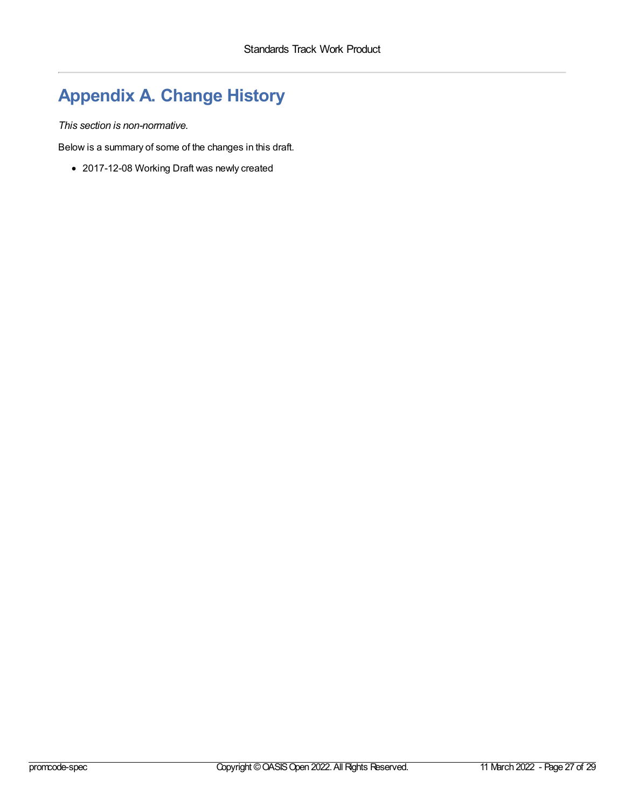## <span id="page-26-0"></span>**Appendix A. Change History**

*This section is non-normative.*

Below is a summary of some of the changes in this draft.

2017-12-08 Working Draft was newly created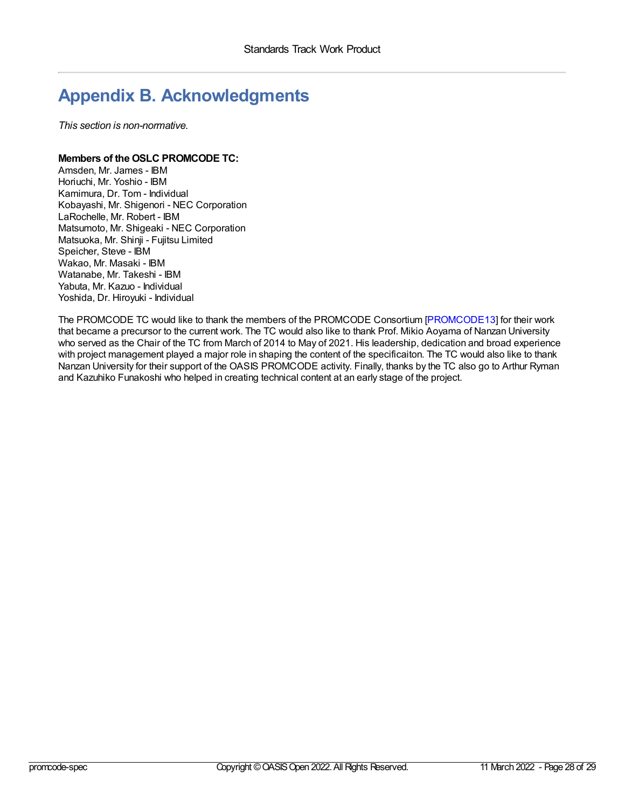## <span id="page-27-0"></span>**Appendix B. Acknowledgments**

*This section is non-normative.*

## **Members of the OSLC PROMCODE TC:**

Amsden, Mr. James - IBM Horiuchi, Mr. Yoshio - IBM Kamimura, Dr. Tom - Individual Kobayashi, Mr. Shigenori - NEC Corporation LaRochelle, Mr. Robert - IBM Matsumoto, Mr. Shigeaki - NEC Corporation Matsuoka, Mr. Shinji - Fujitsu Limited Speicher, Steve - IBM Wakao, Mr. Masaki - IBM Watanabe, Mr. Takeshi - IBM Yabuta, Mr. Kazuo - Individual Yoshida, Dr. Hiroyuki - Individual

The PROMCODE TC would like to thank the members of the PROMCODE Consortium [\[PROMCODE13](#page-28-5)] for their work that became a precursor to the current work. The TC would also like to thank Prof. Mikio Aoyama of Nanzan University who served as the Chair of the TC from March of 2014 to May of 2021. His leadership, dedication and broad experience with project management played a major role in shaping the content of the specificaiton. The TC would also like to thank Nanzan University for their support of the OASIS PROMCODE activity. Finally, thanks by the TC also go to Arthur Ryman and Kazuhiko Funakoshi who helped in creating technical content at an early stage of the project.